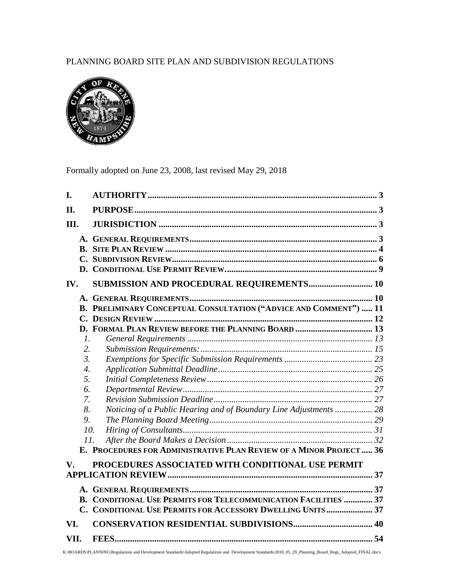# PLANNING BOARD SITE PLAN AND SUBDIVISION REGULATIONS



Formally adopted on June 23, 2008, last revised May 29, 2018

| I.               |                                                                        |    |
|------------------|------------------------------------------------------------------------|----|
| <b>II.</b>       |                                                                        |    |
| III.             |                                                                        |    |
| IV.              | SUBMISSION AND PROCEDURAL REQUIREMENTS 10                              |    |
|                  |                                                                        |    |
|                  | B. PRELIMINARY CONCEPTUAL CONSULTATION ("ADVICE AND COMMENT")  11      |    |
|                  |                                                                        |    |
|                  | D. FORMAL PLAN REVIEW BEFORE THE PLANNING BOARD  13                    |    |
| $\mathcal{I}$ .  |                                                                        |    |
| 2.               |                                                                        |    |
| $\mathfrak{Z}$ . |                                                                        |    |
| $\overline{4}$ . |                                                                        |    |
| 5.               |                                                                        |    |
| 6.               |                                                                        |    |
| 7.               |                                                                        |    |
| 8.               | Noticing of a Public Hearing and of Boundary Line Adjustments  28      |    |
| 9                |                                                                        |    |
| 10.              |                                                                        |    |
| 11.              |                                                                        |    |
|                  | E. PROCEDURES FOR ADMINISTRATIVE PLAN REVIEW OF A MINOR PROJECT 36     |    |
| V.               | PROCEDURES ASSOCIATED WITH CONDITIONAL USE PERMIT                      |    |
|                  |                                                                        |    |
|                  |                                                                        | 37 |
|                  | <b>B. CONDITIONAL USE PERMITS FOR TELECOMMUNICATION FACILITIES  37</b> |    |
|                  | C. CONDITIONAL USE PERMITS FOR ACCESSORY DWELLING UNITS 37             |    |
| VI.              |                                                                        |    |
| VII.             |                                                                        |    |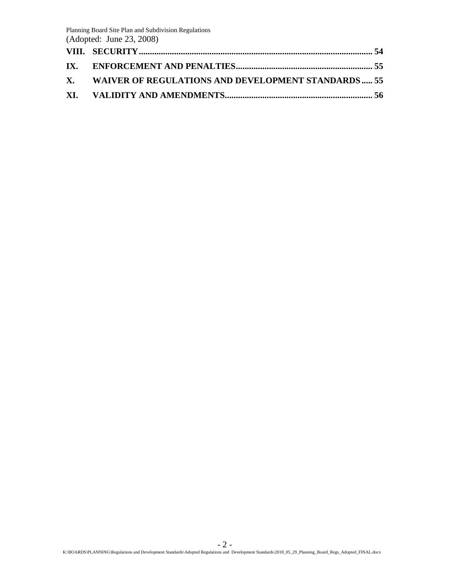| X. WAIVER OF REGULATIONS AND DEVELOPMENT STANDARDS 55 |  |
|-------------------------------------------------------|--|
|                                                       |  |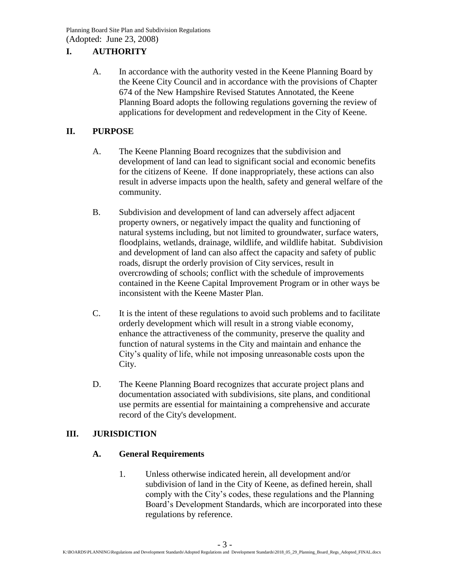# <span id="page-2-0"></span>**I. AUTHORITY**

A. In accordance with the authority vested in the Keene Planning Board by the Keene City Council and in accordance with the provisions of Chapter 674 of the New Hampshire Revised Statutes Annotated, the Keene Planning Board adopts the following regulations governing the review of applications for development and redevelopment in the City of Keene.

## <span id="page-2-1"></span>**II. PURPOSE**

- A. The Keene Planning Board recognizes that the subdivision and development of land can lead to significant social and economic benefits for the citizens of Keene. If done inappropriately, these actions can also result in adverse impacts upon the health, safety and general welfare of the community.
- B. Subdivision and development of land can adversely affect adjacent property owners, or negatively impact the quality and functioning of natural systems including, but not limited to groundwater, surface waters, floodplains, wetlands, drainage, wildlife, and wildlife habitat. Subdivision and development of land can also affect the capacity and safety of public roads, disrupt the orderly provision of City services, result in overcrowding of schools; conflict with the schedule of improvements contained in the Keene Capital Improvement Program or in other ways be inconsistent with the Keene Master Plan.
- C. It is the intent of these regulations to avoid such problems and to facilitate orderly development which will result in a strong viable economy, enhance the attractiveness of the community, preserve the quality and function of natural systems in the City and maintain and enhance the City's quality of life, while not imposing unreasonable costs upon the City.
- D. The Keene Planning Board recognizes that accurate project plans and documentation associated with subdivisions, site plans, and conditional use permits are essential for maintaining a comprehensive and accurate record of the City's development.

## <span id="page-2-3"></span><span id="page-2-2"></span>**III. JURISDICTION**

## **A. General Requirements**

1. Unless otherwise indicated herein, all development and/or subdivision of land in the City of Keene, as defined herein, shall comply with the City's codes, these regulations and the Planning Board's Development Standards, which are incorporated into these regulations by reference.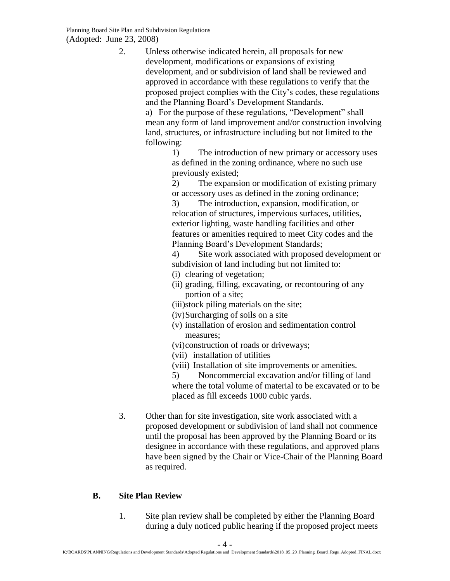2. Unless otherwise indicated herein, all proposals for new development, modifications or expansions of existing development, and or subdivision of land shall be reviewed and approved in accordance with these regulations to verify that the proposed project complies with the City's codes, these regulations and the Planning Board's Development Standards.

> a) For the purpose of these regulations, "Development" shall mean any form of land improvement and/or construction involving land, structures, or infrastructure including but not limited to the following:

> > 1) The introduction of new primary or accessory uses as defined in the zoning ordinance, where no such use previously existed;

> > 2) The expansion or modification of existing primary or accessory uses as defined in the zoning ordinance;

3) The introduction, expansion, modification, or relocation of structures, impervious surfaces, utilities, exterior lighting, waste handling facilities and other features or amenities required to meet City codes and the Planning Board's Development Standards;

4) Site work associated with proposed development or subdivision of land including but not limited to:

- (i) clearing of vegetation;
- (ii) grading, filling, excavating, or recontouring of any portion of a site;
- (iii)stock piling materials on the site;
- (iv)Surcharging of soils on a site
- (v) installation of erosion and sedimentation control measures;
- (vi)construction of roads or driveways;
- (vii) installation of utilities
- (viii) Installation of site improvements or amenities.

5) Noncommercial excavation and/or filling of land where the total volume of material to be excavated or to be placed as fill exceeds 1000 cubic yards.

3. Other than for site investigation, site work associated with a proposed development or subdivision of land shall not commence until the proposal has been approved by the Planning Board or its designee in accordance with these regulations, and approved plans have been signed by the Chair or Vice-Chair of the Planning Board as required.

## <span id="page-3-0"></span>**B. Site Plan Review**

1. Site plan review shall be completed by either the Planning Board during a duly noticed public hearing if the proposed project meets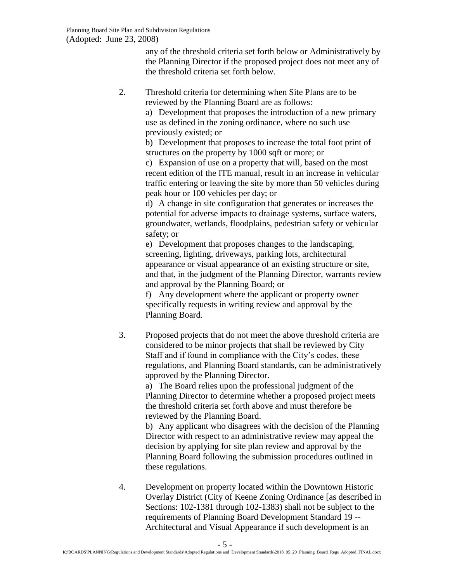any of the threshold criteria set forth below or Administratively by the Planning Director if the proposed project does not meet any of the threshold criteria set forth below.

2. Threshold criteria for determining when Site Plans are to be reviewed by the Planning Board are as follows:

a) Development that proposes the introduction of a new primary use as defined in the zoning ordinance, where no such use previously existed; or

b) Development that proposes to increase the total foot print of structures on the property by 1000 sqft or more; or

c) Expansion of use on a property that will, based on the most recent edition of the ITE manual, result in an increase in vehicular traffic entering or leaving the site by more than 50 vehicles during peak hour or 100 vehicles per day; or

d) A change in site configuration that generates or increases the potential for adverse impacts to drainage systems, surface waters, groundwater, wetlands, floodplains, pedestrian safety or vehicular safety; or

e) Development that proposes changes to the landscaping, screening, lighting, driveways, parking lots, architectural appearance or visual appearance of an existing structure or site, and that, in the judgment of the Planning Director, warrants review and approval by the Planning Board; or

f) Any development where the applicant or property owner specifically requests in writing review and approval by the Planning Board.

3. Proposed projects that do not meet the above threshold criteria are considered to be minor projects that shall be reviewed by City Staff and if found in compliance with the City's codes, these regulations, and Planning Board standards, can be administratively approved by the Planning Director.

> a) The Board relies upon the professional judgment of the Planning Director to determine whether a proposed project meets the threshold criteria set forth above and must therefore be reviewed by the Planning Board.

b) Any applicant who disagrees with the decision of the Planning Director with respect to an administrative review may appeal the decision by applying for site plan review and approval by the Planning Board following the submission procedures outlined in these regulations.

4. Development on property located within the Downtown Historic Overlay District (City of Keene Zoning Ordinance [as described in Sections: 102-1381 through 102-1383) shall not be subject to the requirements of Planning Board Development Standard 19 -- Architectural and Visual Appearance if such development is an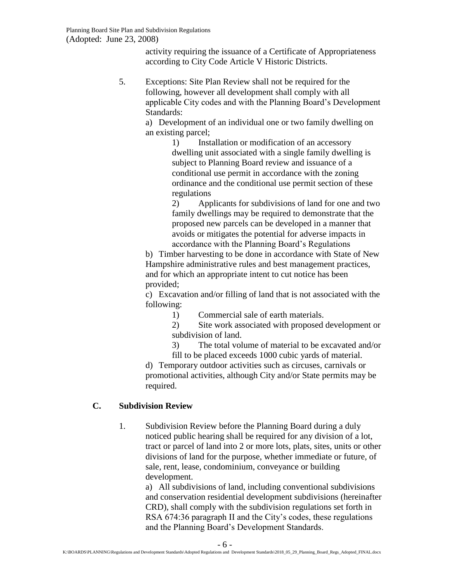activity requiring the issuance of a Certificate of Appropriateness according to City Code Article V Historic Districts.

5. Exceptions: Site Plan Review shall not be required for the following, however all development shall comply with all applicable City codes and with the Planning Board's Development Standards:

> a) Development of an individual one or two family dwelling on an existing parcel;

> > 1) Installation or modification of an accessory dwelling unit associated with a single family dwelling is subject to Planning Board review and issuance of a conditional use permit in accordance with the zoning ordinance and the conditional use permit section of these regulations

2) Applicants for subdivisions of land for one and two family dwellings may be required to demonstrate that the proposed new parcels can be developed in a manner that avoids or mitigates the potential for adverse impacts in accordance with the Planning Board's Regulations

b) Timber harvesting to be done in accordance with State of New Hampshire administrative rules and best management practices, and for which an appropriate intent to cut notice has been provided;

c) Excavation and/or filling of land that is not associated with the following:

1) Commercial sale of earth materials.

2) Site work associated with proposed development or subdivision of land.

3) The total volume of material to be excavated and/or

fill to be placed exceeds 1000 cubic yards of material.

d) Temporary outdoor activities such as circuses, carnivals or promotional activities, although City and/or State permits may be required.

## <span id="page-5-0"></span>**C. Subdivision Review**

1. Subdivision Review before the Planning Board during a duly noticed public hearing shall be required for any division of a lot, tract or parcel of land into 2 or more lots, plats, sites, units or other divisions of land for the purpose, whether immediate or future, of sale, rent, lease, condominium, conveyance or building development.

a) All subdivisions of land, including conventional subdivisions and conservation residential development subdivisions (hereinafter CRD), shall comply with the subdivision regulations set forth in RSA 674:36 paragraph II and the City's codes, these regulations and the Planning Board's Development Standards.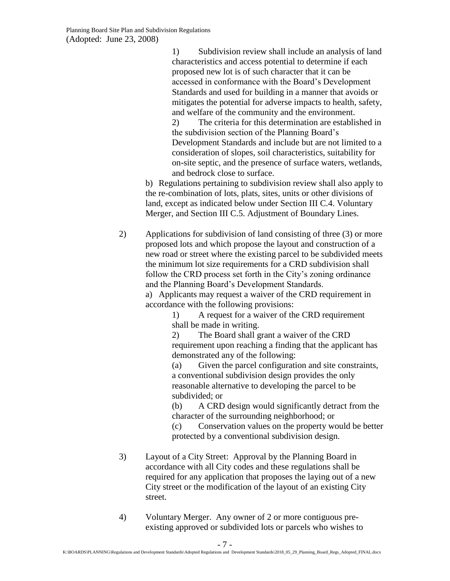1) Subdivision review shall include an analysis of land characteristics and access potential to determine if each proposed new lot is of such character that it can be accessed in conformance with the Board's Development Standards and used for building in a manner that avoids or mitigates the potential for adverse impacts to health, safety, and welfare of the community and the environment.

2) The criteria for this determination are established in the subdivision section of the Planning Board's Development Standards and include but are not limited to a consideration of slopes, soil characteristics, suitability for on-site septic, and the presence of surface waters, wetlands, and bedrock close to surface.

b) Regulations pertaining to subdivision review shall also apply to the re-combination of lots, plats, sites, units or other divisions of land, except as indicated below under Section III C.4. Voluntary Merger, and Section III C.5. Adjustment of Boundary Lines.

2) Applications for subdivision of land consisting of three (3) or more proposed lots and which propose the layout and construction of a new road or street where the existing parcel to be subdivided meets the minimum lot size requirements for a CRD subdivision shall follow the CRD process set forth in the City's zoning ordinance and the Planning Board's Development Standards.

> a) Applicants may request a waiver of the CRD requirement in accordance with the following provisions:

> > 1) A request for a waiver of the CRD requirement shall be made in writing.

2) The Board shall grant a waiver of the CRD requirement upon reaching a finding that the applicant has demonstrated any of the following:

(a) Given the parcel configuration and site constraints, a conventional subdivision design provides the only reasonable alternative to developing the parcel to be subdivided; or

(b) A CRD design would significantly detract from the character of the surrounding neighborhood; or

(c) Conservation values on the property would be better protected by a conventional subdivision design.

- 3) Layout of a City Street: Approval by the Planning Board in accordance with all City codes and these regulations shall be required for any application that proposes the laying out of a new City street or the modification of the layout of an existing City street.
- 4) Voluntary Merger. Any owner of 2 or more contiguous preexisting approved or subdivided lots or parcels who wishes to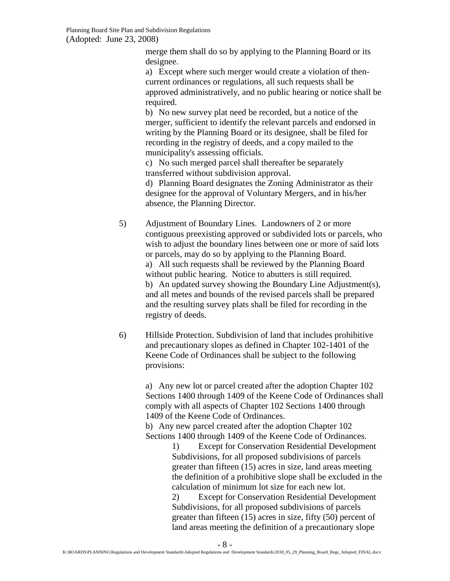merge them shall do so by applying to the Planning Board or its designee.

a) Except where such merger would create a violation of thencurrent ordinances or regulations, all such requests shall be approved administratively, and no public hearing or notice shall be required.

b) No new survey plat need be recorded, but a notice of the merger, sufficient to identify the relevant parcels and endorsed in writing by the Planning Board or its designee, shall be filed for recording in the registry of deeds, and a copy mailed to the municipality's assessing officials.

c) No such merged parcel shall thereafter be separately transferred without subdivision approval.

d) Planning Board designates the Zoning Administrator as their designee for the approval of Voluntary Mergers, and in his/her absence, the Planning Director.

5) Adjustment of Boundary Lines. Landowners of 2 or more contiguous preexisting approved or subdivided lots or parcels, who wish to adjust the boundary lines between one or more of said lots or parcels, may do so by applying to the Planning Board. a) All such requests shall be reviewed by the Planning Board without public hearing. Notice to abutters is still required. b) An updated survey showing the Boundary Line Adjustment(s), and all metes and bounds of the revised parcels shall be prepared and the resulting survey plats shall be filed for recording in the registry of deeds.

6) Hillside Protection. Subdivision of land that includes prohibitive and precautionary slopes as defined in Chapter 102-1401 of the Keene Code of Ordinances shall be subject to the following provisions:

> a) Any new lot or parcel created after the adoption Chapter 102 Sections 1400 through 1409 of the Keene Code of Ordinances shall comply with all aspects of Chapter 102 Sections 1400 through 1409 of the Keene Code of Ordinances.

b) Any new parcel created after the adoption Chapter 102 Sections 1400 through 1409 of the Keene Code of Ordinances.

1) Except for Conservation Residential Development Subdivisions, for all proposed subdivisions of parcels greater than fifteen (15) acres in size, land areas meeting the definition of a prohibitive slope shall be excluded in the calculation of minimum lot size for each new lot.

2) Except for Conservation Residential Development Subdivisions, for all proposed subdivisions of parcels greater than fifteen (15) acres in size, fifty (50) percent of land areas meeting the definition of a precautionary slope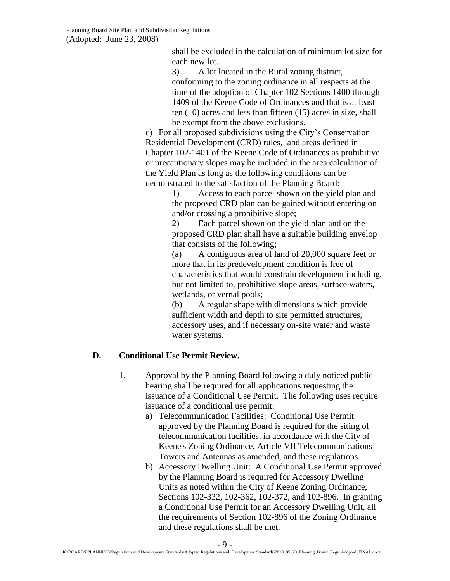shall be excluded in the calculation of minimum lot size for each new lot.

3) A lot located in the Rural zoning district, conforming to the zoning ordinance in all respects at the time of the adoption of Chapter 102 Sections 1400 through 1409 of the Keene Code of Ordinances and that is at least ten (10) acres and less than fifteen (15) acres in size, shall be exempt from the above exclusions.

c) For all proposed subdivisions using the City's Conservation Residential Development (CRD) rules, land areas defined in Chapter 102-1401 of the Keene Code of Ordinances as prohibitive or precautionary slopes may be included in the area calculation of the Yield Plan as long as the following conditions can be demonstrated to the satisfaction of the Planning Board:

1) Access to each parcel shown on the yield plan and the proposed CRD plan can be gained without entering on and/or crossing a prohibitive slope;

2) Each parcel shown on the yield plan and on the proposed CRD plan shall have a suitable building envelop that consists of the following;

(a) A contiguous area of land of 20,000 square feet or more that in its predevelopment condition is free of characteristics that would constrain development including, but not limited to, prohibitive slope areas, surface waters, wetlands, or vernal pools;

(b) A regular shape with dimensions which provide sufficient width and depth to site permitted structures, accessory uses, and if necessary on-site water and waste water systems.

# <span id="page-8-0"></span>**D. Conditional Use Permit Review.**

- 1. Approval by the Planning Board following a duly noticed public hearing shall be required for all applications requesting the issuance of a Conditional Use Permit. The following uses require issuance of a conditional use permit:
	- a) Telecommunication Facilities: Conditional Use Permit approved by the Planning Board is required for the siting of telecommunication facilities, in accordance with the City of Keene's Zoning Ordinance, Article VII Telecommunications Towers and Antennas as amended, and these regulations.
	- b) Accessory Dwelling Unit: A Conditional Use Permit approved by the Planning Board is required for Accessory Dwelling Units as noted within the City of Keene Zoning Ordinance, Sections 102-332, 102-362, 102-372, and 102-896. In granting a Conditional Use Permit for an Accessory Dwelling Unit, all the requirements of Section 102-896 of the Zoning Ordinance and these regulations shall be met.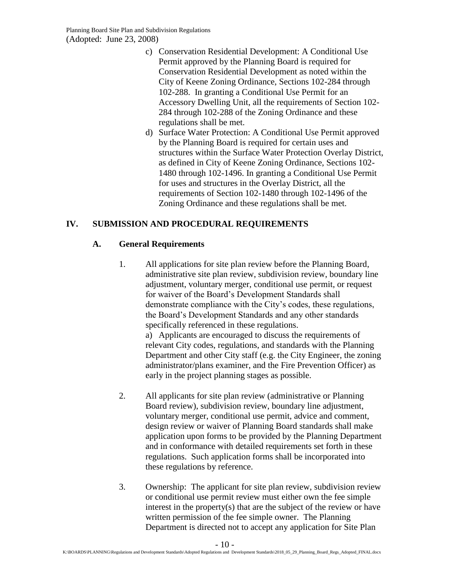- c) Conservation Residential Development: A Conditional Use Permit approved by the Planning Board is required for Conservation Residential Development as noted within the City of Keene Zoning Ordinance, Sections 102-284 through 102-288. In granting a Conditional Use Permit for an Accessory Dwelling Unit, all the requirements of Section 102- 284 through 102-288 of the Zoning Ordinance and these regulations shall be met.
- d) Surface Water Protection: A Conditional Use Permit approved by the Planning Board is required for certain uses and structures within the Surface Water Protection Overlay District, as defined in City of Keene Zoning Ordinance, Sections 102- 1480 through 102-1496. In granting a Conditional Use Permit for uses and structures in the Overlay District, all the requirements of Section 102-1480 through 102-1496 of the Zoning Ordinance and these regulations shall be met.

## <span id="page-9-1"></span><span id="page-9-0"></span>**IV. SUBMISSION AND PROCEDURAL REQUIREMENTS**

## **A. General Requirements**

1. All applications for site plan review before the Planning Board, administrative site plan review, subdivision review, boundary line adjustment, voluntary merger, conditional use permit, or request for waiver of the Board's Development Standards shall demonstrate compliance with the City's codes, these regulations, the Board's Development Standards and any other standards specifically referenced in these regulations.

a) Applicants are encouraged to discuss the requirements of relevant City codes, regulations, and standards with the Planning Department and other City staff (e.g. the City Engineer, the zoning administrator/plans examiner, and the Fire Prevention Officer) as early in the project planning stages as possible.

- 2. All applicants for site plan review (administrative or Planning Board review), subdivision review, boundary line adjustment, voluntary merger, conditional use permit, advice and comment, design review or waiver of Planning Board standards shall make application upon forms to be provided by the Planning Department and in conformance with detailed requirements set forth in these regulations. Such application forms shall be incorporated into these regulations by reference.
- 3. Ownership: The applicant for site plan review, subdivision review or conditional use permit review must either own the fee simple interest in the property(s) that are the subject of the review or have written permission of the fee simple owner. The Planning Department is directed not to accept any application for Site Plan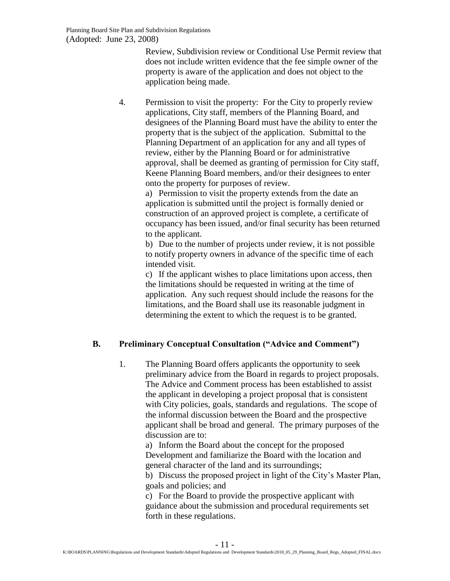Review, Subdivision review or Conditional Use Permit review that does not include written evidence that the fee simple owner of the property is aware of the application and does not object to the application being made.

4. Permission to visit the property: For the City to properly review applications, City staff, members of the Planning Board, and designees of the Planning Board must have the ability to enter the property that is the subject of the application. Submittal to the Planning Department of an application for any and all types of review, either by the Planning Board or for administrative approval, shall be deemed as granting of permission for City staff, Keene Planning Board members, and/or their designees to enter onto the property for purposes of review.

> a) Permission to visit the property extends from the date an application is submitted until the project is formally denied or construction of an approved project is complete, a certificate of occupancy has been issued, and/or final security has been returned to the applicant.

b) Due to the number of projects under review, it is not possible to notify property owners in advance of the specific time of each intended visit.

c) If the applicant wishes to place limitations upon access, then the limitations should be requested in writing at the time of application. Any such request should include the reasons for the limitations, and the Board shall use its reasonable judgment in determining the extent to which the request is to be granted.

## <span id="page-10-0"></span>**B. Preliminary Conceptual Consultation ("Advice and Comment")**

1. The Planning Board offers applicants the opportunity to seek preliminary advice from the Board in regards to project proposals. The Advice and Comment process has been established to assist the applicant in developing a project proposal that is consistent with City policies, goals, standards and regulations. The scope of the informal discussion between the Board and the prospective applicant shall be broad and general. The primary purposes of the discussion are to:

a) Inform the Board about the concept for the proposed Development and familiarize the Board with the location and general character of the land and its surroundings;

b) Discuss the proposed project in light of the City's Master Plan, goals and policies; and

c) For the Board to provide the prospective applicant with guidance about the submission and procedural requirements set forth in these regulations.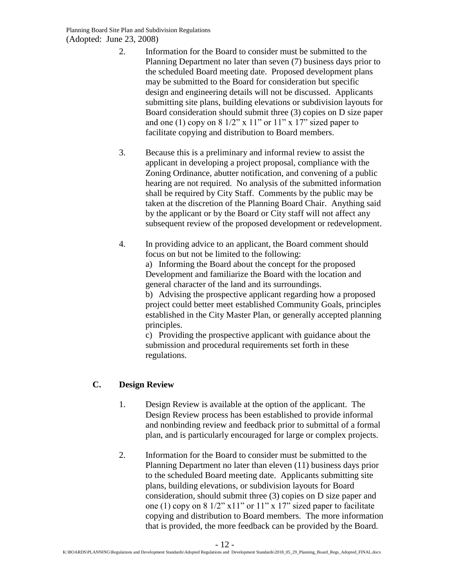- 2. Information for the Board to consider must be submitted to the Planning Department no later than seven (7) business days prior to the scheduled Board meeting date. Proposed development plans may be submitted to the Board for consideration but specific design and engineering details will not be discussed. Applicants submitting site plans, building elevations or subdivision layouts for Board consideration should submit three (3) copies on D size paper and one (1) copy on  $8\frac{1}{2}$ " x  $11$ " or  $11$ " x  $17$ " sized paper to facilitate copying and distribution to Board members.
- 3. Because this is a preliminary and informal review to assist the applicant in developing a project proposal, compliance with the Zoning Ordinance, abutter notification, and convening of a public hearing are not required. No analysis of the submitted information shall be required by City Staff. Comments by the public may be taken at the discretion of the Planning Board Chair. Anything said by the applicant or by the Board or City staff will not affect any subsequent review of the proposed development or redevelopment.
- 4. In providing advice to an applicant, the Board comment should focus on but not be limited to the following:

a) Informing the Board about the concept for the proposed Development and familiarize the Board with the location and general character of the land and its surroundings.

b) Advising the prospective applicant regarding how a proposed project could better meet established Community Goals, principles established in the City Master Plan, or generally accepted planning principles.

c) Providing the prospective applicant with guidance about the submission and procedural requirements set forth in these regulations.

# <span id="page-11-0"></span>**C. Design Review**

- 1. Design Review is available at the option of the applicant. The Design Review process has been established to provide informal and nonbinding review and feedback prior to submittal of a formal plan, and is particularly encouraged for large or complex projects.
- 2. Information for the Board to consider must be submitted to the Planning Department no later than eleven (11) business days prior to the scheduled Board meeting date. Applicants submitting site plans, building elevations, or subdivision layouts for Board consideration, should submit three (3) copies on D size paper and one (1) copy on  $8\frac{1}{2}$ " x 11" or 11" x 17" sized paper to facilitate copying and distribution to Board members. The more information that is provided, the more feedback can be provided by the Board.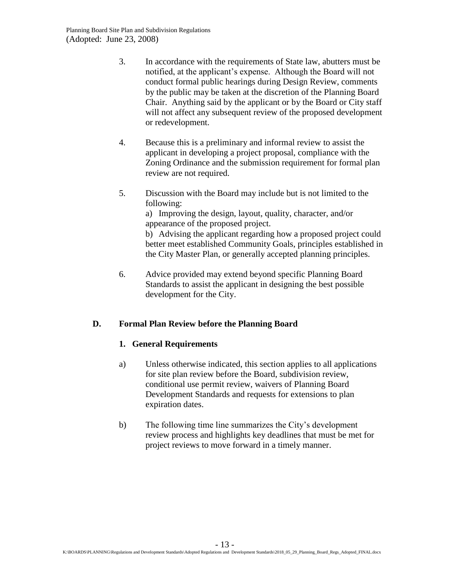- 3. In accordance with the requirements of State law, abutters must be notified, at the applicant's expense. Although the Board will not conduct formal public hearings during Design Review, comments by the public may be taken at the discretion of the Planning Board Chair. Anything said by the applicant or by the Board or City staff will not affect any subsequent review of the proposed development or redevelopment.
- 4. Because this is a preliminary and informal review to assist the applicant in developing a project proposal, compliance with the Zoning Ordinance and the submission requirement for formal plan review are not required.
- 5. Discussion with the Board may include but is not limited to the following:

a) Improving the design, layout, quality, character, and/or appearance of the proposed project.

b) Advising the applicant regarding how a proposed project could better meet established Community Goals, principles established in the City Master Plan, or generally accepted planning principles.

6. Advice provided may extend beyond specific Planning Board Standards to assist the applicant in designing the best possible development for the City.

## <span id="page-12-1"></span><span id="page-12-0"></span>**D. Formal Plan Review before the Planning Board**

#### **1. General Requirements**

- a) Unless otherwise indicated, this section applies to all applications for site plan review before the Board, subdivision review, conditional use permit review, waivers of Planning Board Development Standards and requests for extensions to plan expiration dates.
- b) The following time line summarizes the City's development review process and highlights key deadlines that must be met for project reviews to move forward in a timely manner.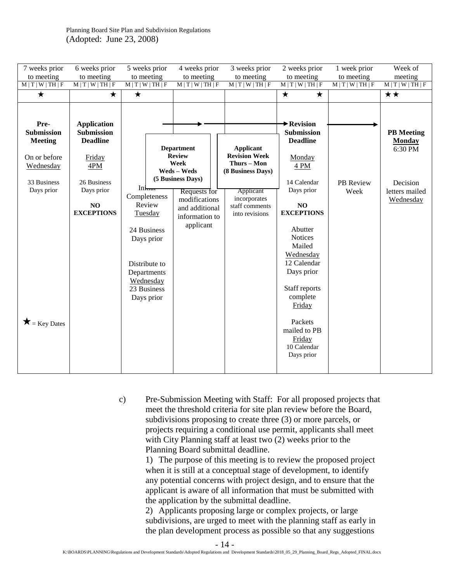| 7 weeks prior<br>to meeting                                                                                              | 6 weeks prior<br>to meeting                                                                                                         | 5 weeks prior<br>to meeting                                                                                                                        | 4 weeks prior<br>to meeting                                                                                                                                      | 3 weeks prior<br>to meeting                                                                                                                   | 2 weeks prior<br>to meeting                                                                                                                                                                                                                                                                                                                | 1 week prior<br>to meeting | Week of<br>meeting                                                                       |
|--------------------------------------------------------------------------------------------------------------------------|-------------------------------------------------------------------------------------------------------------------------------------|----------------------------------------------------------------------------------------------------------------------------------------------------|------------------------------------------------------------------------------------------------------------------------------------------------------------------|-----------------------------------------------------------------------------------------------------------------------------------------------|--------------------------------------------------------------------------------------------------------------------------------------------------------------------------------------------------------------------------------------------------------------------------------------------------------------------------------------------|----------------------------|------------------------------------------------------------------------------------------|
| M T W TH F                                                                                                               | M   T   W   TH   F                                                                                                                  | M   T   W   TH   F                                                                                                                                 | M T W TH F                                                                                                                                                       | M T W TH F                                                                                                                                    | M   T   W   TH   F                                                                                                                                                                                                                                                                                                                         | M   T   W   TH   F         | M T W TH F                                                                               |
| ★                                                                                                                        | ★                                                                                                                                   | $\bigstar$                                                                                                                                         |                                                                                                                                                                  |                                                                                                                                               | $\star$<br>$\star$                                                                                                                                                                                                                                                                                                                         |                            | ★★                                                                                       |
| Pre-<br>Submission<br><b>Meeting</b><br>On or before<br>Wednesday<br>33 Business<br>Days prior<br>$\bigstar$ = Key Dates | <b>Application</b><br><b>Submission</b><br><b>Deadline</b><br>Friday<br>4PM<br>26 Business<br>Days prior<br>NO<br><b>EXCEPTIONS</b> | Intuar<br>Completeness<br>Review<br>Tuesday<br>24 Business<br>Days prior<br>Distribute to<br>Departments<br>Wednesday<br>23 Business<br>Days prior | <b>Department</b><br><b>Review</b><br>Week<br>Weds - Weds<br>(5 Business Days)<br>Requests for<br>modifications<br>and additional<br>information to<br>applicant | <b>Applicant</b><br><b>Revision Week</b><br>Thurs - Mon<br>(8 Business Days)<br>Applicant<br>incorporates<br>staff comments<br>into revisions | $\blacktriangleright$ Revision<br><b>Submission</b><br><b>Deadline</b><br>Monday<br>4 PM<br>14 Calendar<br>Days prior<br>NO<br><b>EXCEPTIONS</b><br>Abutter<br><b>Notices</b><br>Mailed<br>Wednesday<br>12 Calendar<br>Days prior<br>Staff reports<br>complete<br>Friday<br>Packets<br>mailed to PB<br>Friday<br>10 Calendar<br>Days prior | PB Review<br>Week          | <b>PB</b> Meeting<br><b>Monday</b><br>6:30 PM<br>Decision<br>letters mailed<br>Wednesday |

c) Pre-Submission Meeting with Staff: For all proposed projects that meet the threshold criteria for site plan review before the Board, subdivisions proposing to create three (3) or more parcels, or projects requiring a conditional use permit, applicants shall meet with City Planning staff at least two (2) weeks prior to the Planning Board submittal deadline.

> 1) The purpose of this meeting is to review the proposed project when it is still at a conceptual stage of development, to identify any potential concerns with project design, and to ensure that the applicant is aware of all information that must be submitted with the application by the submittal deadline.

> 2) Applicants proposing large or complex projects, or large subdivisions, are urged to meet with the planning staff as early in the plan development process as possible so that any suggestions

> > - 14 -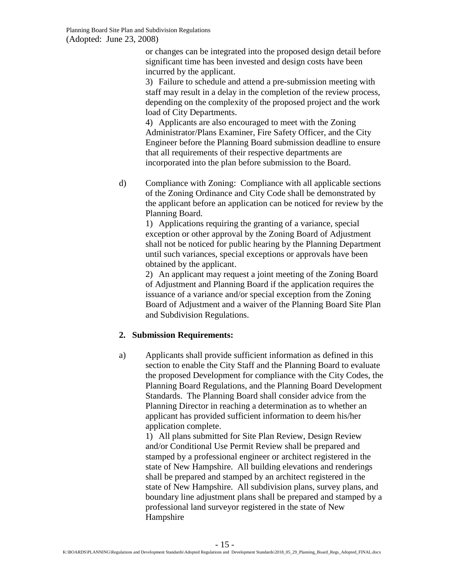or changes can be integrated into the proposed design detail before significant time has been invested and design costs have been incurred by the applicant.

3) Failure to schedule and attend a pre-submission meeting with staff may result in a delay in the completion of the review process, depending on the complexity of the proposed project and the work load of City Departments.

4) Applicants are also encouraged to meet with the Zoning Administrator/Plans Examiner, Fire Safety Officer, and the City Engineer before the Planning Board submission deadline to ensure that all requirements of their respective departments are incorporated into the plan before submission to the Board.

d) Compliance with Zoning: Compliance with all applicable sections of the Zoning Ordinance and City Code shall be demonstrated by the applicant before an application can be noticed for review by the Planning Board.

> 1) Applications requiring the granting of a variance, special exception or other approval by the Zoning Board of Adjustment shall not be noticed for public hearing by the Planning Department until such variances, special exceptions or approvals have been obtained by the applicant.

> 2) An applicant may request a joint meeting of the Zoning Board of Adjustment and Planning Board if the application requires the issuance of a variance and/or special exception from the Zoning Board of Adjustment and a waiver of the Planning Board Site Plan and Subdivision Regulations.

## <span id="page-14-0"></span>**2. Submission Requirements:**

a) Applicants shall provide sufficient information as defined in this section to enable the City Staff and the Planning Board to evaluate the proposed Development for compliance with the City Codes, the Planning Board Regulations, and the Planning Board Development Standards. The Planning Board shall consider advice from the Planning Director in reaching a determination as to whether an applicant has provided sufficient information to deem his/her application complete.

> 1) All plans submitted for Site Plan Review, Design Review and/or Conditional Use Permit Review shall be prepared and stamped by a professional engineer or architect registered in the state of New Hampshire. All building elevations and renderings shall be prepared and stamped by an architect registered in the state of New Hampshire. All subdivision plans, survey plans, and boundary line adjustment plans shall be prepared and stamped by a professional land surveyor registered in the state of New Hampshire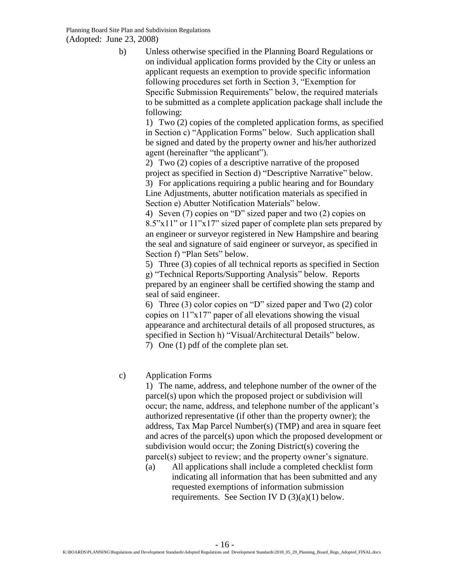b) Unless otherwise specified in the Planning Board Regulations or on individual application forms provided by the City or unless an applicant requests an exemption to provide specific information following procedures set forth in Section 3, "Exemption for Specific Submission Requirements" below, the required materials to be submitted as a complete application package shall include the following:

> 1) Two (2) copies of the completed application forms, as specified in Section c) "Application Forms" below. Such application shall be signed and dated by the property owner and his/her authorized agent (hereinafter "the applicant").

2) Two (2) copies of a descriptive narrative of the proposed project as specified in Section d) "Descriptive Narrative" below. 3) For applications requiring a public hearing and for Boundary Line Adjustments, abutter notification materials as specified in Section e) Abutter Notification Materials" below.

4) Seven (7) copies on "D" sized paper and two (2) copies on 8.5"x11" or 11"x17" sized paper of complete plan sets prepared by an engineer or surveyor registered in New Hampshire and bearing the seal and signature of said engineer or surveyor, as specified in Section f) "Plan Sets" below.

5) Three (3) copies of all technical reports as specified in Section g) "Technical Reports/Supporting Analysis" below. Reports prepared by an engineer shall be certified showing the stamp and seal of said engineer.

6) Three (3) color copies on "D" sized paper and Two (2) color copies on 11"x17" paper of all elevations showing the visual appearance and architectural details of all proposed structures, as specified in Section h) "Visual/Architectural Details" below.

7) One (1) pdf of the complete plan set.

## c) Application Forms

1) The name, address, and telephone number of the owner of the parcel(s) upon which the proposed project or subdivision will occur; the name, address, and telephone number of the applicant's authorized representative (if other than the property owner); the address, Tax Map Parcel Number(s) (TMP) and area in square feet and acres of the parcel(s) upon which the proposed development or subdivision would occur; the Zoning District(s) covering the parcel(s) subject to review; and the property owner's signature.

(a) All applications shall include a completed checklist form indicating all information that has been submitted and any requested exemptions of information submission requirements. See Section IV  $D(3)(a)(1)$  below.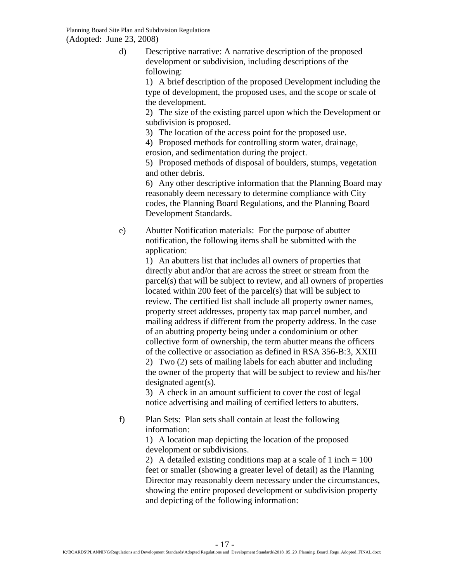d) Descriptive narrative: A narrative description of the proposed development or subdivision, including descriptions of the following:

> 1) A brief description of the proposed Development including the type of development, the proposed uses, and the scope or scale of the development.

> 2) The size of the existing parcel upon which the Development or subdivision is proposed.

3) The location of the access point for the proposed use.

4) Proposed methods for controlling storm water, drainage, erosion, and sedimentation during the project.

5) Proposed methods of disposal of boulders, stumps, vegetation and other debris.

6) Any other descriptive information that the Planning Board may reasonably deem necessary to determine compliance with City codes, the Planning Board Regulations, and the Planning Board Development Standards.

e) Abutter Notification materials: For the purpose of abutter notification, the following items shall be submitted with the application:

> 1) An abutters list that includes all owners of properties that directly abut and/or that are across the street or stream from the parcel(s) that will be subject to review, and all owners of properties located within 200 feet of the parcel(s) that will be subject to review. The certified list shall include all property owner names, property street addresses, property tax map parcel number, and mailing address if different from the property address. In the case of an abutting property being under a condominium or other collective form of ownership, the term abutter means the officers of the collective or association as defined in RSA 356-B:3, XXIII 2) Two (2) sets of mailing labels for each abutter and including the owner of the property that will be subject to review and his/her designated agent(s).

3) A check in an amount sufficient to cover the cost of legal notice advertising and mailing of certified letters to abutters.

f) Plan Sets: Plan sets shall contain at least the following information:

1) A location map depicting the location of the proposed development or subdivisions.

2) A detailed existing conditions map at a scale of  $1$  inch  $= 100$ feet or smaller (showing a greater level of detail) as the Planning Director may reasonably deem necessary under the circumstances, showing the entire proposed development or subdivision property and depicting of the following information: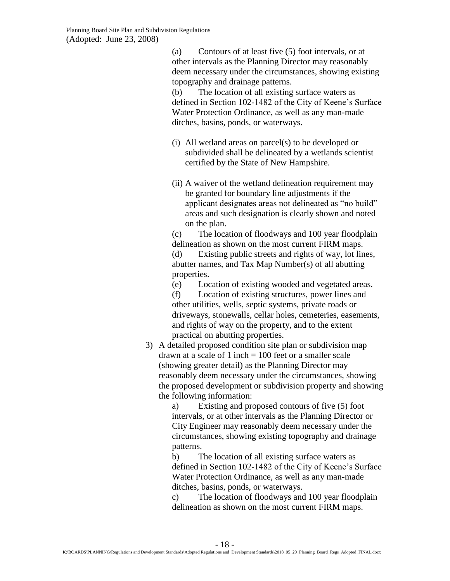(a) Contours of at least five (5) foot intervals, or at other intervals as the Planning Director may reasonably deem necessary under the circumstances, showing existing topography and drainage patterns.

(b) The location of all existing surface waters as defined in Section 102-1482 of the City of Keene's Surface Water Protection Ordinance, as well as any man-made ditches, basins, ponds, or waterways.

- (i) All wetland areas on parcel(s) to be developed or subdivided shall be delineated by a wetlands scientist certified by the State of New Hampshire.
- (ii) A waiver of the wetland delineation requirement may be granted for boundary line adjustments if the applicant designates areas not delineated as "no build" areas and such designation is clearly shown and noted on the plan.

(c) The location of floodways and 100 year floodplain delineation as shown on the most current FIRM maps. (d) Existing public streets and rights of way, lot lines, abutter names, and Tax Map Number(s) of all abutting properties.

(e) Location of existing wooded and vegetated areas.

(f) Location of existing structures, power lines and other utilities, wells, septic systems, private roads or driveways, stonewalls, cellar holes, cemeteries, easements, and rights of way on the property, and to the extent practical on abutting properties.

3) A detailed proposed condition site plan or subdivision map drawn at a scale of 1 inch  $= 100$  feet or a smaller scale (showing greater detail) as the Planning Director may reasonably deem necessary under the circumstances, showing the proposed development or subdivision property and showing the following information:

a) Existing and proposed contours of five (5) foot intervals, or at other intervals as the Planning Director or City Engineer may reasonably deem necessary under the circumstances, showing existing topography and drainage patterns.

b) The location of all existing surface waters as defined in Section 102-1482 of the City of Keene's Surface Water Protection Ordinance, as well as any man-made ditches, basins, ponds, or waterways.

c) The location of floodways and 100 year floodplain delineation as shown on the most current FIRM maps.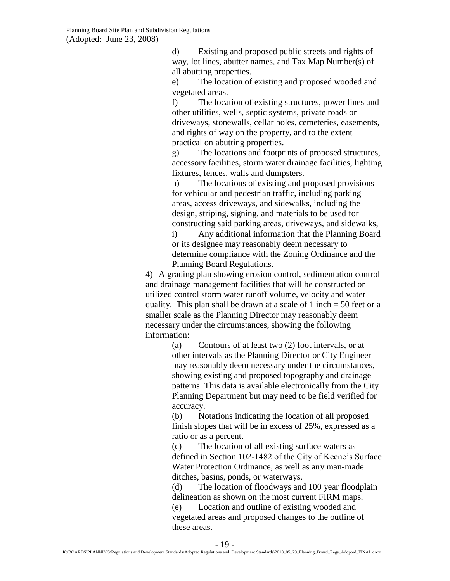d) Existing and proposed public streets and rights of way, lot lines, abutter names, and Tax Map Number(s) of all abutting properties.

e) The location of existing and proposed wooded and vegetated areas.

f) The location of existing structures, power lines and other utilities, wells, septic systems, private roads or driveways, stonewalls, cellar holes, cemeteries, easements, and rights of way on the property, and to the extent practical on abutting properties.

g) The locations and footprints of proposed structures, accessory facilities, storm water drainage facilities, lighting fixtures, fences, walls and dumpsters.

h) The locations of existing and proposed provisions for vehicular and pedestrian traffic, including parking areas, access driveways, and sidewalks, including the design, striping, signing, and materials to be used for constructing said parking areas, driveways, and sidewalks,

i) Any additional information that the Planning Board or its designee may reasonably deem necessary to determine compliance with the Zoning Ordinance and the Planning Board Regulations.

4) A grading plan showing erosion control, sedimentation control and drainage management facilities that will be constructed or utilized control storm water runoff volume, velocity and water quality. This plan shall be drawn at a scale of 1 inch  $=$  50 feet or a smaller scale as the Planning Director may reasonably deem necessary under the circumstances, showing the following information:

> (a) Contours of at least two (2) foot intervals, or at other intervals as the Planning Director or City Engineer may reasonably deem necessary under the circumstances, showing existing and proposed topography and drainage patterns. This data is available electronically from the City Planning Department but may need to be field verified for accuracy.

(b) Notations indicating the location of all proposed finish slopes that will be in excess of 25%, expressed as a ratio or as a percent.

(c) The location of all existing surface waters as defined in Section 102-1482 of the City of Keene's Surface Water Protection Ordinance, as well as any man-made ditches, basins, ponds, or waterways.

(d) The location of floodways and 100 year floodplain delineation as shown on the most current FIRM maps.

(e) Location and outline of existing wooded and vegetated areas and proposed changes to the outline of these areas.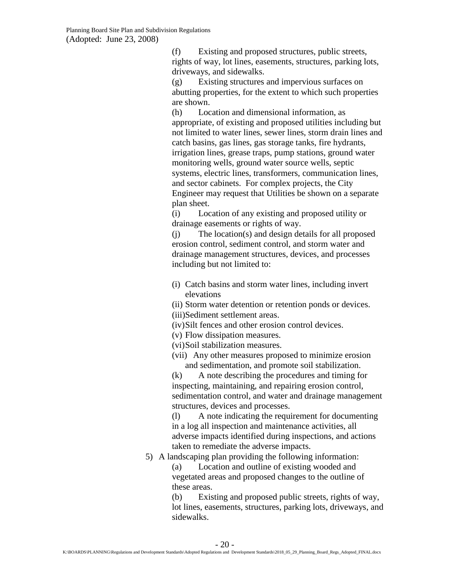(f) Existing and proposed structures, public streets, rights of way, lot lines, easements, structures, parking lots, driveways, and sidewalks.

(g) Existing structures and impervious surfaces on abutting properties, for the extent to which such properties are shown.

(h) Location and dimensional information, as appropriate, of existing and proposed utilities including but not limited to water lines, sewer lines, storm drain lines and catch basins, gas lines, gas storage tanks, fire hydrants, irrigation lines, grease traps, pump stations, ground water monitoring wells, ground water source wells, septic systems, electric lines, transformers, communication lines, and sector cabinets. For complex projects, the City Engineer may request that Utilities be shown on a separate plan sheet.

(i) Location of any existing and proposed utility or drainage easements or rights of way.

(j) The location(s) and design details for all proposed erosion control, sediment control, and storm water and drainage management structures, devices, and processes including but not limited to:

(i) Catch basins and storm water lines, including invert elevations

(ii) Storm water detention or retention ponds or devices. (iii)Sediment settlement areas.

- (iv)Silt fences and other erosion control devices.
- (v) Flow dissipation measures.
- (vi)Soil stabilization measures.
- (vii) Any other measures proposed to minimize erosion and sedimentation, and promote soil stabilization.

(k) A note describing the procedures and timing for inspecting, maintaining, and repairing erosion control, sedimentation control, and water and drainage management structures, devices and processes.

(l) A note indicating the requirement for documenting in a log all inspection and maintenance activities, all adverse impacts identified during inspections, and actions taken to remediate the adverse impacts.

5) A landscaping plan providing the following information:

(a) Location and outline of existing wooded and vegetated areas and proposed changes to the outline of these areas.

(b) Existing and proposed public streets, rights of way, lot lines, easements, structures, parking lots, driveways, and sidewalks.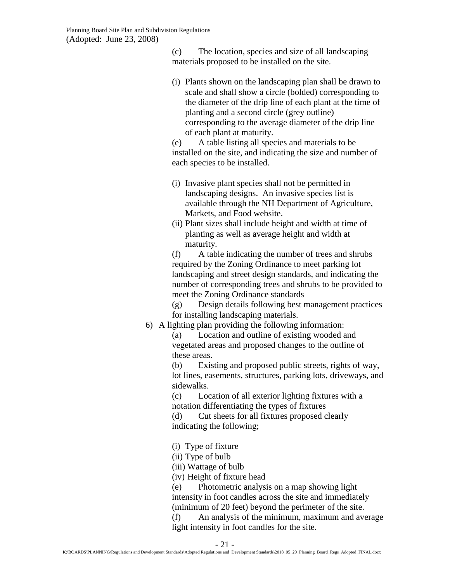(c) The location, species and size of all landscaping materials proposed to be installed on the site.

(i) Plants shown on the landscaping plan shall be drawn to scale and shall show a circle (bolded) corresponding to the diameter of the drip line of each plant at the time of planting and a second circle (grey outline) corresponding to the average diameter of the drip line of each plant at maturity.

(e) A table listing all species and materials to be installed on the site, and indicating the size and number of each species to be installed.

- (i) Invasive plant species shall not be permitted in landscaping designs. An invasive species list is available through the NH Department of Agriculture, Markets, and Food website.
- (ii) Plant sizes shall include height and width at time of planting as well as average height and width at maturity.

(f) A table indicating the number of trees and shrubs required by the Zoning Ordinance to meet parking lot landscaping and street design standards, and indicating the number of corresponding trees and shrubs to be provided to meet the Zoning Ordinance standards

(g) Design details following best management practices for installing landscaping materials.

6) A lighting plan providing the following information:

(a) Location and outline of existing wooded and vegetated areas and proposed changes to the outline of these areas.

(b) Existing and proposed public streets, rights of way, lot lines, easements, structures, parking lots, driveways, and sidewalks.

(c) Location of all exterior lighting fixtures with a notation differentiating the types of fixtures

(d) Cut sheets for all fixtures proposed clearly indicating the following;

(i) Type of fixture

(ii) Type of bulb

- (iii) Wattage of bulb
- (iv) Height of fixture head

(e) Photometric analysis on a map showing light intensity in foot candles across the site and immediately (minimum of 20 feet) beyond the perimeter of the site.

(f) An analysis of the minimum, maximum and average light intensity in foot candles for the site.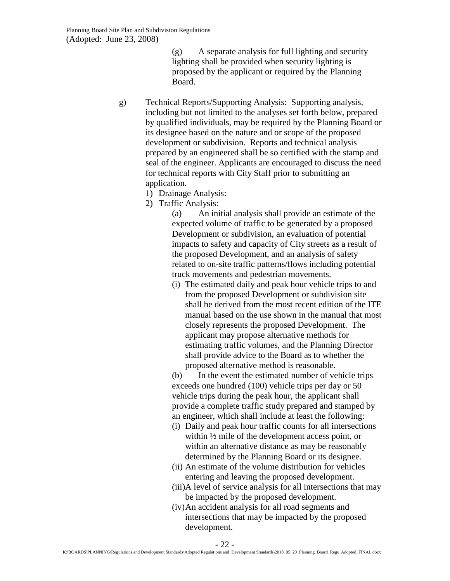(g) A separate analysis for full lighting and security lighting shall be provided when security lighting is proposed by the applicant or required by the Planning Board.

- g) Technical Reports/Supporting Analysis: Supporting analysis, including but not limited to the analyses set forth below, prepared by qualified individuals, may be required by the Planning Board or its designee based on the nature and or scope of the proposed development or subdivision. Reports and technical analysis prepared by an engineered shall be so certified with the stamp and seal of the engineer. Applicants are encouraged to discuss the need for technical reports with City Staff prior to submitting an application.
	- 1) Drainage Analysis:
	- 2) Traffic Analysis:

(a) An initial analysis shall provide an estimate of the expected volume of traffic to be generated by a proposed Development or subdivision, an evaluation of potential impacts to safety and capacity of City streets as a result of the proposed Development, and an analysis of safety related to on-site traffic patterns/flows including potential truck movements and pedestrian movements.

(i) The estimated daily and peak hour vehicle trips to and from the proposed Development or subdivision site shall be derived from the most recent edition of the ITE manual based on the use shown in the manual that most closely represents the proposed Development. The applicant may propose alternative methods for estimating traffic volumes, and the Planning Director shall provide advice to the Board as to whether the proposed alternative method is reasonable.

(b) In the event the estimated number of vehicle trips exceeds one hundred (100) vehicle trips per day or 50 vehicle trips during the peak hour, the applicant shall provide a complete traffic study prepared and stamped by an engineer, which shall include at least the following:

- (i) Daily and peak hour traffic counts for all intersections within ½ mile of the development access point, or within an alternative distance as may be reasonably determined by the Planning Board or its designee.
- (ii) An estimate of the volume distribution for vehicles entering and leaving the proposed development.
- (iii)A level of service analysis for all intersections that may be impacted by the proposed development.
- (iv)An accident analysis for all road segments and intersections that may be impacted by the proposed development.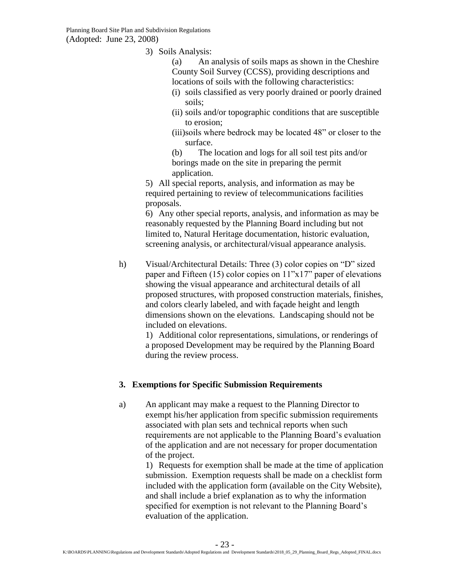3) Soils Analysis:

(a) An analysis of soils maps as shown in the Cheshire County Soil Survey (CCSS), providing descriptions and locations of soils with the following characteristics:

- (i) soils classified as very poorly drained or poorly drained soils;
- (ii) soils and/or topographic conditions that are susceptible to erosion;
- (iii)soils where bedrock may be located 48" or closer to the surface.

(b) The location and logs for all soil test pits and/or borings made on the site in preparing the permit application.

5) All special reports, analysis, and information as may be required pertaining to review of telecommunications facilities proposals.

6) Any other special reports, analysis, and information as may be reasonably requested by the Planning Board including but not limited to, Natural Heritage documentation, historic evaluation, screening analysis, or architectural/visual appearance analysis.

h) Visual/Architectural Details: Three (3) color copies on "D" sized paper and Fifteen (15) color copies on 11"x17" paper of elevations showing the visual appearance and architectural details of all proposed structures, with proposed construction materials, finishes, and colors clearly labeled, and with façade height and length dimensions shown on the elevations. Landscaping should not be included on elevations.

1) Additional color representations, simulations, or renderings of a proposed Development may be required by the Planning Board during the review process.

#### <span id="page-22-0"></span>**3. Exemptions for Specific Submission Requirements**

a) An applicant may make a request to the Planning Director to exempt his/her application from specific submission requirements associated with plan sets and technical reports when such requirements are not applicable to the Planning Board's evaluation of the application and are not necessary for proper documentation of the project.

> 1) Requests for exemption shall be made at the time of application submission. Exemption requests shall be made on a checklist form included with the application form (available on the City Website), and shall include a brief explanation as to why the information specified for exemption is not relevant to the Planning Board's evaluation of the application.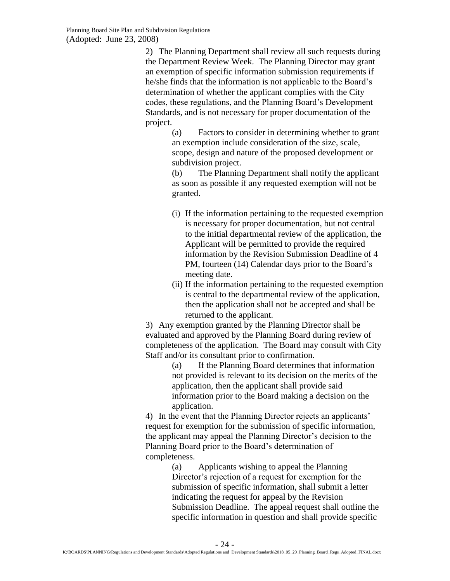2) The Planning Department shall review all such requests during the Department Review Week. The Planning Director may grant an exemption of specific information submission requirements if he/she finds that the information is not applicable to the Board's determination of whether the applicant complies with the City codes, these regulations, and the Planning Board's Development Standards, and is not necessary for proper documentation of the project.

> (a) Factors to consider in determining whether to grant an exemption include consideration of the size, scale, scope, design and nature of the proposed development or subdivision project.

> (b) The Planning Department shall notify the applicant as soon as possible if any requested exemption will not be granted.

- (i) If the information pertaining to the requested exemption is necessary for proper documentation, but not central to the initial departmental review of the application, the Applicant will be permitted to provide the required information by the Revision Submission Deadline of 4 PM, fourteen (14) Calendar days prior to the Board's meeting date.
- (ii) If the information pertaining to the requested exemption is central to the departmental review of the application, then the application shall not be accepted and shall be returned to the applicant.

3) Any exemption granted by the Planning Director shall be evaluated and approved by the Planning Board during review of completeness of the application. The Board may consult with City Staff and/or its consultant prior to confirmation.

(a) If the Planning Board determines that information not provided is relevant to its decision on the merits of the application, then the applicant shall provide said information prior to the Board making a decision on the application.

4) In the event that the Planning Director rejects an applicants' request for exemption for the submission of specific information, the applicant may appeal the Planning Director's decision to the Planning Board prior to the Board's determination of completeness.

> (a) Applicants wishing to appeal the Planning Director's rejection of a request for exemption for the submission of specific information, shall submit a letter indicating the request for appeal by the Revision Submission Deadline. The appeal request shall outline the specific information in question and shall provide specific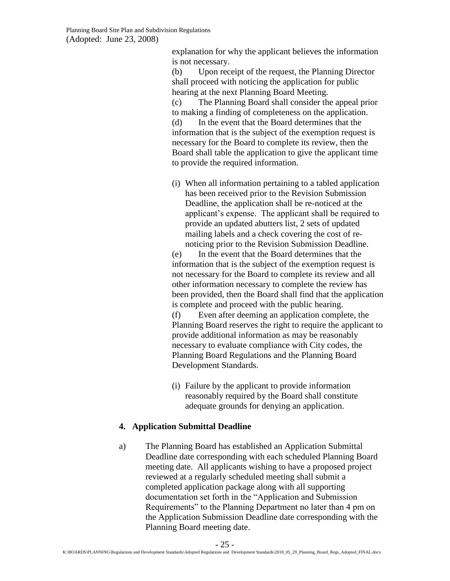explanation for why the applicant believes the information is not necessary.

(b) Upon receipt of the request, the Planning Director shall proceed with noticing the application for public hearing at the next Planning Board Meeting.

(c) The Planning Board shall consider the appeal prior to making a finding of completeness on the application. (d) In the event that the Board determines that the information that is the subject of the exemption request is necessary for the Board to complete its review, then the Board shall table the application to give the applicant time to provide the required information.

(i) When all information pertaining to a tabled application has been received prior to the Revision Submission Deadline, the application shall be re-noticed at the applicant's expense. The applicant shall be required to provide an updated abutters list, 2 sets of updated mailing labels and a check covering the cost of renoticing prior to the Revision Submission Deadline.

(e) In the event that the Board determines that the information that is the subject of the exemption request is not necessary for the Board to complete its review and all other information necessary to complete the review has been provided, then the Board shall find that the application is complete and proceed with the public hearing.

(f) Even after deeming an application complete, the Planning Board reserves the right to require the applicant to provide additional information as may be reasonably necessary to evaluate compliance with City codes, the Planning Board Regulations and the Planning Board Development Standards.

(i) Failure by the applicant to provide information reasonably required by the Board shall constitute adequate grounds for denying an application.

## <span id="page-24-0"></span>**4. Application Submittal Deadline**

a) The Planning Board has established an Application Submittal Deadline date corresponding with each scheduled Planning Board meeting date. All applicants wishing to have a proposed project reviewed at a regularly scheduled meeting shall submit a completed application package along with all supporting documentation set forth in the "Application and Submission Requirements" to the Planning Department no later than 4 pm on the Application Submission Deadline date corresponding with the Planning Board meeting date.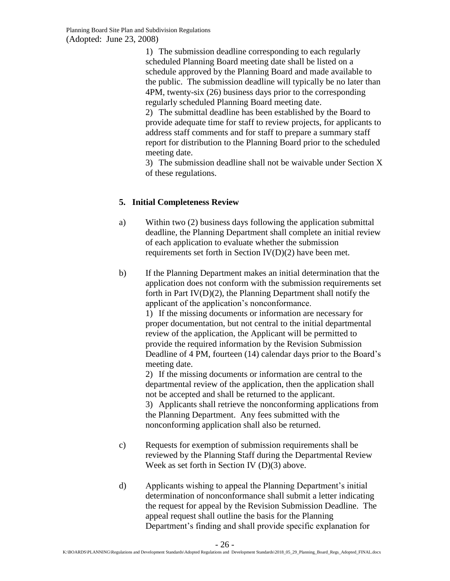1) The submission deadline corresponding to each regularly scheduled Planning Board meeting date shall be listed on a schedule approved by the Planning Board and made available to the public. The submission deadline will typically be no later than 4PM, twenty-six (26) business days prior to the corresponding regularly scheduled Planning Board meeting date.

2) The submittal deadline has been established by the Board to provide adequate time for staff to review projects, for applicants to address staff comments and for staff to prepare a summary staff report for distribution to the Planning Board prior to the scheduled meeting date.

3) The submission deadline shall not be waivable under Section X of these regulations.

# <span id="page-25-0"></span>**5. Initial Completeness Review**

- a) Within two (2) business days following the application submittal deadline, the Planning Department shall complete an initial review of each application to evaluate whether the submission requirements set forth in Section IV(D)(2) have been met.
- b) If the Planning Department makes an initial determination that the application does not conform with the submission requirements set forth in Part IV(D)(2), the Planning Department shall notify the applicant of the application's nonconformance.

1) If the missing documents or information are necessary for proper documentation, but not central to the initial departmental review of the application, the Applicant will be permitted to provide the required information by the Revision Submission Deadline of 4 PM, fourteen (14) calendar days prior to the Board's meeting date.

2) If the missing documents or information are central to the departmental review of the application, then the application shall not be accepted and shall be returned to the applicant.

3) Applicants shall retrieve the nonconforming applications from the Planning Department. Any fees submitted with the nonconforming application shall also be returned.

- c) Requests for exemption of submission requirements shall be reviewed by the Planning Staff during the Departmental Review Week as set forth in Section IV (D)(3) above.
- d) Applicants wishing to appeal the Planning Department's initial determination of nonconformance shall submit a letter indicating the request for appeal by the Revision Submission Deadline. The appeal request shall outline the basis for the Planning Department's finding and shall provide specific explanation for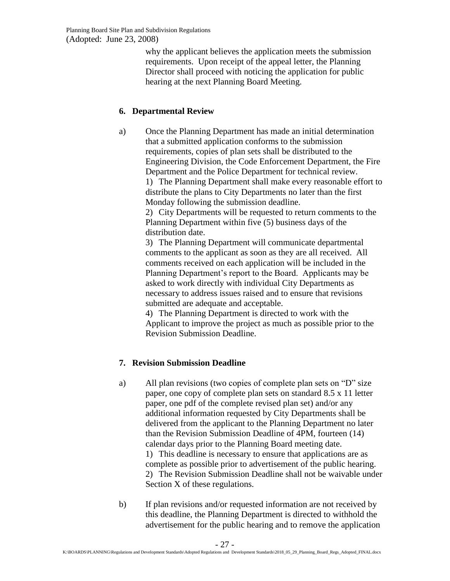why the applicant believes the application meets the submission requirements. Upon receipt of the appeal letter, the Planning Director shall proceed with noticing the application for public hearing at the next Planning Board Meeting.

### <span id="page-26-0"></span>**6. Departmental Review**

a) Once the Planning Department has made an initial determination that a submitted application conforms to the submission requirements, copies of plan sets shall be distributed to the Engineering Division, the Code Enforcement Department, the Fire Department and the Police Department for technical review.

> 1) The Planning Department shall make every reasonable effort to distribute the plans to City Departments no later than the first Monday following the submission deadline.

2) City Departments will be requested to return comments to the Planning Department within five (5) business days of the distribution date.

3) The Planning Department will communicate departmental comments to the applicant as soon as they are all received. All comments received on each application will be included in the Planning Department's report to the Board. Applicants may be asked to work directly with individual City Departments as necessary to address issues raised and to ensure that revisions submitted are adequate and acceptable.

4) The Planning Department is directed to work with the Applicant to improve the project as much as possible prior to the Revision Submission Deadline.

## <span id="page-26-1"></span>**7. Revision Submission Deadline**

a) All plan revisions (two copies of complete plan sets on "D" size paper, one copy of complete plan sets on standard 8.5 x 11 letter paper, one pdf of the complete revised plan set) and/or any additional information requested by City Departments shall be delivered from the applicant to the Planning Department no later than the Revision Submission Deadline of 4PM, fourteen (14) calendar days prior to the Planning Board meeting date. 1) This deadline is necessary to ensure that applications are as complete as possible prior to advertisement of the public hearing.

2) The Revision Submission Deadline shall not be waivable under Section X of these regulations.

b) If plan revisions and/or requested information are not received by this deadline, the Planning Department is directed to withhold the advertisement for the public hearing and to remove the application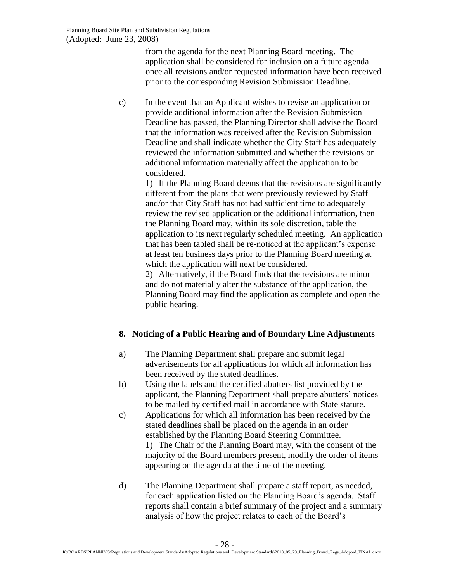from the agenda for the next Planning Board meeting. The application shall be considered for inclusion on a future agenda once all revisions and/or requested information have been received prior to the corresponding Revision Submission Deadline.

c) In the event that an Applicant wishes to revise an application or provide additional information after the Revision Submission Deadline has passed, the Planning Director shall advise the Board that the information was received after the Revision Submission Deadline and shall indicate whether the City Staff has adequately reviewed the information submitted and whether the revisions or additional information materially affect the application to be considered.

> 1) If the Planning Board deems that the revisions are significantly different from the plans that were previously reviewed by Staff and/or that City Staff has not had sufficient time to adequately review the revised application or the additional information, then the Planning Board may, within its sole discretion, table the application to its next regularly scheduled meeting. An application that has been tabled shall be re-noticed at the applicant's expense at least ten business days prior to the Planning Board meeting at which the application will next be considered.

> 2) Alternatively, if the Board finds that the revisions are minor and do not materially alter the substance of the application, the Planning Board may find the application as complete and open the public hearing.

## <span id="page-27-0"></span>**8. Noticing of a Public Hearing and of Boundary Line Adjustments**

- a) The Planning Department shall prepare and submit legal advertisements for all applications for which all information has been received by the stated deadlines.
- b) Using the labels and the certified abutters list provided by the applicant, the Planning Department shall prepare abutters' notices to be mailed by certified mail in accordance with State statute.
- c) Applications for which all information has been received by the stated deadlines shall be placed on the agenda in an order established by the Planning Board Steering Committee. 1) The Chair of the Planning Board may, with the consent of the majority of the Board members present, modify the order of items appearing on the agenda at the time of the meeting.
- d) The Planning Department shall prepare a staff report, as needed, for each application listed on the Planning Board's agenda. Staff reports shall contain a brief summary of the project and a summary analysis of how the project relates to each of the Board's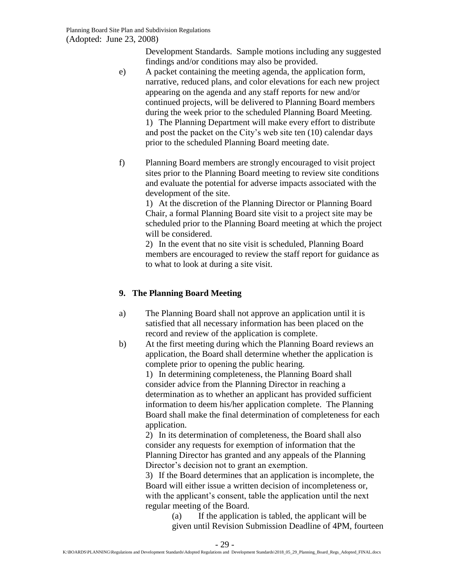Development Standards. Sample motions including any suggested findings and/or conditions may also be provided.

- e) A packet containing the meeting agenda, the application form, narrative, reduced plans, and color elevations for each new project appearing on the agenda and any staff reports for new and/or continued projects, will be delivered to Planning Board members during the week prior to the scheduled Planning Board Meeting. 1) The Planning Department will make every effort to distribute and post the packet on the City's web site ten (10) calendar days prior to the scheduled Planning Board meeting date.
- f) Planning Board members are strongly encouraged to visit project sites prior to the Planning Board meeting to review site conditions and evaluate the potential for adverse impacts associated with the development of the site.

1) At the discretion of the Planning Director or Planning Board Chair, a formal Planning Board site visit to a project site may be scheduled prior to the Planning Board meeting at which the project will be considered.

2) In the event that no site visit is scheduled, Planning Board members are encouraged to review the staff report for guidance as to what to look at during a site visit.

# <span id="page-28-0"></span>**9. The Planning Board Meeting**

- a) The Planning Board shall not approve an application until it is satisfied that all necessary information has been placed on the record and review of the application is complete.
- b) At the first meeting during which the Planning Board reviews an application, the Board shall determine whether the application is complete prior to opening the public hearing.

1) In determining completeness, the Planning Board shall consider advice from the Planning Director in reaching a determination as to whether an applicant has provided sufficient information to deem his/her application complete. The Planning Board shall make the final determination of completeness for each application.

2) In its determination of completeness, the Board shall also consider any requests for exemption of information that the Planning Director has granted and any appeals of the Planning Director's decision not to grant an exemption.

3) If the Board determines that an application is incomplete, the Board will either issue a written decision of incompleteness or, with the applicant's consent, table the application until the next regular meeting of the Board.

> (a) If the application is tabled, the applicant will be given until Revision Submission Deadline of 4PM, fourteen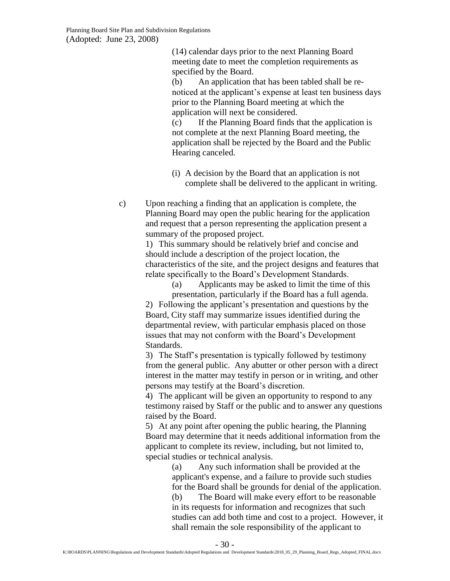(14) calendar days prior to the next Planning Board meeting date to meet the completion requirements as specified by the Board.

(b) An application that has been tabled shall be renoticed at the applicant's expense at least ten business days prior to the Planning Board meeting at which the application will next be considered.

(c) If the Planning Board finds that the application is not complete at the next Planning Board meeting, the application shall be rejected by the Board and the Public Hearing canceled.

- (i) A decision by the Board that an application is not complete shall be delivered to the applicant in writing.
- c) Upon reaching a finding that an application is complete, the Planning Board may open the public hearing for the application and request that a person representing the application present a summary of the proposed project.

1) This summary should be relatively brief and concise and should include a description of the project location, the characteristics of the site, and the project designs and features that relate specifically to the Board's Development Standards.

(a) Applicants may be asked to limit the time of this presentation, particularly if the Board has a full agenda.

2) Following the applicant's presentation and questions by the Board, City staff may summarize issues identified during the departmental review, with particular emphasis placed on those issues that may not conform with the Board's Development Standards.

3) The Staff's presentation is typically followed by testimony from the general public. Any abutter or other person with a direct interest in the matter may testify in person or in writing, and other persons may testify at the Board's discretion.

4) The applicant will be given an opportunity to respond to any testimony raised by Staff or the public and to answer any questions raised by the Board.

5) At any point after opening the public hearing, the Planning Board may determine that it needs additional information from the applicant to complete its review, including, but not limited to, special studies or technical analysis.

(a) Any such information shall be provided at the applicant's expense, and a failure to provide such studies for the Board shall be grounds for denial of the application.

(b) The Board will make every effort to be reasonable in its requests for information and recognizes that such studies can add both time and cost to a project. However, it shall remain the sole responsibility of the applicant to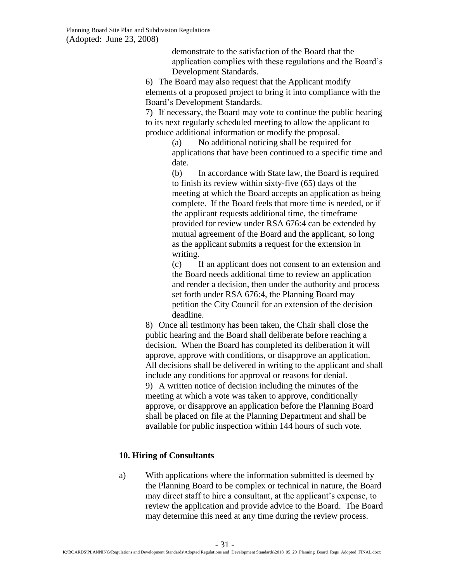demonstrate to the satisfaction of the Board that the application complies with these regulations and the Board's Development Standards.

6) The Board may also request that the Applicant modify elements of a proposed project to bring it into compliance with the Board's Development Standards.

7) If necessary, the Board may vote to continue the public hearing to its next regularly scheduled meeting to allow the applicant to produce additional information or modify the proposal.

> (a) No additional noticing shall be required for applications that have been continued to a specific time and date.

> (b) In accordance with State law, the Board is required to finish its review within sixty-five (65) days of the meeting at which the Board accepts an application as being complete. If the Board feels that more time is needed, or if the applicant requests additional time, the timeframe provided for review under RSA 676:4 can be extended by mutual agreement of the Board and the applicant, so long as the applicant submits a request for the extension in writing.

> (c) If an applicant does not consent to an extension and the Board needs additional time to review an application and render a decision, then under the authority and process set forth under RSA 676:4, the Planning Board may petition the City Council for an extension of the decision deadline.

8) Once all testimony has been taken, the Chair shall close the public hearing and the Board shall deliberate before reaching a decision. When the Board has completed its deliberation it will approve, approve with conditions, or disapprove an application. All decisions shall be delivered in writing to the applicant and shall include any conditions for approval or reasons for denial. 9) A written notice of decision including the minutes of the meeting at which a vote was taken to approve, conditionally approve, or disapprove an application before the Planning Board shall be placed on file at the Planning Department and shall be available for public inspection within 144 hours of such vote.

#### <span id="page-30-0"></span>**10. Hiring of Consultants**

a) With applications where the information submitted is deemed by the Planning Board to be complex or technical in nature, the Board may direct staff to hire a consultant, at the applicant's expense, to review the application and provide advice to the Board. The Board may determine this need at any time during the review process.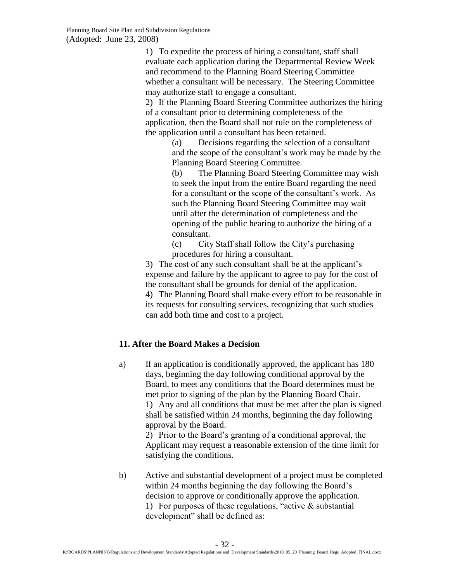1) To expedite the process of hiring a consultant, staff shall evaluate each application during the Departmental Review Week and recommend to the Planning Board Steering Committee whether a consultant will be necessary. The Steering Committee may authorize staff to engage a consultant.

2) If the Planning Board Steering Committee authorizes the hiring of a consultant prior to determining completeness of the application, then the Board shall not rule on the completeness of the application until a consultant has been retained.

> (a) Decisions regarding the selection of a consultant and the scope of the consultant's work may be made by the Planning Board Steering Committee.

(b) The Planning Board Steering Committee may wish to seek the input from the entire Board regarding the need for a consultant or the scope of the consultant's work. As such the Planning Board Steering Committee may wait until after the determination of completeness and the opening of the public hearing to authorize the hiring of a consultant.

(c) City Staff shall follow the City's purchasing procedures for hiring a consultant.

3) The cost of any such consultant shall be at the applicant's expense and failure by the applicant to agree to pay for the cost of the consultant shall be grounds for denial of the application.

4) The Planning Board shall make every effort to be reasonable in its requests for consulting services, recognizing that such studies can add both time and cost to a project.

## <span id="page-31-0"></span>**11. After the Board Makes a Decision**

a) If an application is conditionally approved, the applicant has 180 days, beginning the day following conditional approval by the Board, to meet any conditions that the Board determines must be met prior to signing of the plan by the Planning Board Chair. 1) Any and all conditions that must be met after the plan is signed shall be satisfied within 24 months, beginning the day following approval by the Board.

2) Prior to the Board's granting of a conditional approval, the Applicant may request a reasonable extension of the time limit for satisfying the conditions.

b) Active and substantial development of a project must be completed within 24 months beginning the day following the Board's decision to approve or conditionally approve the application. 1) For purposes of these regulations, "active  $\&$  substantial development" shall be defined as: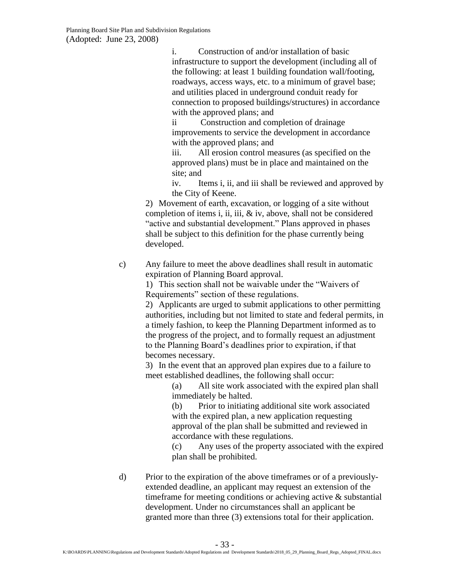i. Construction of and/or installation of basic infrastructure to support the development (including all of the following: at least 1 building foundation wall/footing, roadways, access ways, etc. to a minimum of gravel base; and utilities placed in underground conduit ready for connection to proposed buildings/structures) in accordance with the approved plans; and

ii Construction and completion of drainage improvements to service the development in accordance with the approved plans; and

iii. All erosion control measures (as specified on the approved plans) must be in place and maintained on the site; and

iv. Items i, ii, and iii shall be reviewed and approved by the City of Keene.

2) Movement of earth, excavation, or logging of a site without completion of items i, ii, iii,  $\&$  iv, above, shall not be considered "active and substantial development." Plans approved in phases shall be subject to this definition for the phase currently being developed.

c) Any failure to meet the above deadlines shall result in automatic expiration of Planning Board approval.

1) This section shall not be waivable under the "Waivers of Requirements" section of these regulations.

2) Applicants are urged to submit applications to other permitting authorities, including but not limited to state and federal permits, in a timely fashion, to keep the Planning Department informed as to the progress of the project, and to formally request an adjustment to the Planning Board's deadlines prior to expiration, if that becomes necessary.

3) In the event that an approved plan expires due to a failure to meet established deadlines, the following shall occur:

(a) All site work associated with the expired plan shall immediately be halted.

(b) Prior to initiating additional site work associated with the expired plan, a new application requesting approval of the plan shall be submitted and reviewed in accordance with these regulations.

(c) Any uses of the property associated with the expired plan shall be prohibited.

d) Prior to the expiration of the above timeframes or of a previouslyextended deadline, an applicant may request an extension of the timeframe for meeting conditions or achieving active & substantial development. Under no circumstances shall an applicant be granted more than three (3) extensions total for their application.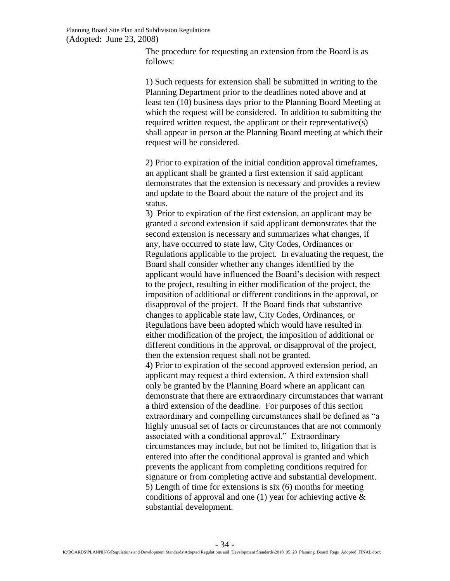The procedure for requesting an extension from the Board is as follows:

1) Such requests for extension shall be submitted in writing to the Planning Department prior to the deadlines noted above and at least ten (10) business days prior to the Planning Board Meeting at which the request will be considered. In addition to submitting the required written request, the applicant or their representative(s) shall appear in person at the Planning Board meeting at which their request will be considered.

2) Prior to expiration of the initial condition approval timeframes, an applicant shall be granted a first extension if said applicant demonstrates that the extension is necessary and provides a review and update to the Board about the nature of the project and its status.

3) Prior to expiration of the first extension, an applicant may be granted a second extension if said applicant demonstrates that the second extension is necessary and summarizes what changes, if any, have occurred to state law, City Codes, Ordinances or Regulations applicable to the project. In evaluating the request, the Board shall consider whether any changes identified by the applicant would have influenced the Board's decision with respect to the project, resulting in either modification of the project, the imposition of additional or different conditions in the approval, or disapproval of the project. If the Board finds that substantive changes to applicable state law, City Codes, Ordinances, or Regulations have been adopted which would have resulted in either modification of the project, the imposition of additional or different conditions in the approval, or disapproval of the project, then the extension request shall not be granted. 4) Prior to expiration of the second approved extension period, an applicant may request a third extension. A third extension shall only be granted by the Planning Board where an applicant can demonstrate that there are extraordinary circumstances that warrant

a third extension of the deadline. For purposes of this section extraordinary and compelling circumstances shall be defined as "a highly unusual set of facts or circumstances that are not commonly associated with a conditional approval." Extraordinary circumstances may include, but not be limited to, litigation that is entered into after the conditional approval is granted and which prevents the applicant from completing conditions required for signature or from completing active and substantial development. 5) Length of time for extensions is six (6) months for meeting conditions of approval and one  $(1)$  year for achieving active  $\&$ substantial development.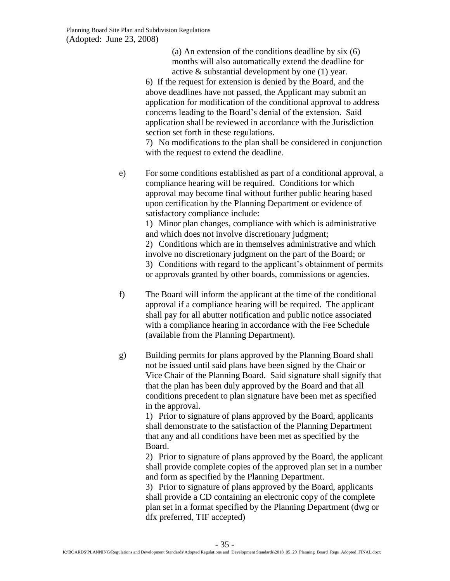(a) An extension of the conditions deadline by six (6) months will also automatically extend the deadline for active & substantial development by one (1) year.

6) If the request for extension is denied by the Board, and the above deadlines have not passed, the Applicant may submit an application for modification of the conditional approval to address concerns leading to the Board's denial of the extension. Said application shall be reviewed in accordance with the Jurisdiction section set forth in these regulations.

7) No modifications to the plan shall be considered in conjunction with the request to extend the deadline.

e) For some conditions established as part of a conditional approval, a compliance hearing will be required. Conditions for which approval may become final without further public hearing based upon certification by the Planning Department or evidence of satisfactory compliance include:

1) Minor plan changes, compliance with which is administrative and which does not involve discretionary judgment;

2) Conditions which are in themselves administrative and which involve no discretionary judgment on the part of the Board; or 3) Conditions with regard to the applicant's obtainment of permits or approvals granted by other boards, commissions or agencies.

- f) The Board will inform the applicant at the time of the conditional approval if a compliance hearing will be required. The applicant shall pay for all abutter notification and public notice associated with a compliance hearing in accordance with the Fee Schedule (available from the Planning Department).
- g) Building permits for plans approved by the Planning Board shall not be issued until said plans have been signed by the Chair or Vice Chair of the Planning Board. Said signature shall signify that that the plan has been duly approved by the Board and that all conditions precedent to plan signature have been met as specified in the approval.

1) Prior to signature of plans approved by the Board, applicants shall demonstrate to the satisfaction of the Planning Department that any and all conditions have been met as specified by the Board.

2) Prior to signature of plans approved by the Board, the applicant shall provide complete copies of the approved plan set in a number and form as specified by the Planning Department.

3) Prior to signature of plans approved by the Board, applicants shall provide a CD containing an electronic copy of the complete plan set in a format specified by the Planning Department (dwg or dfx preferred, TIF accepted)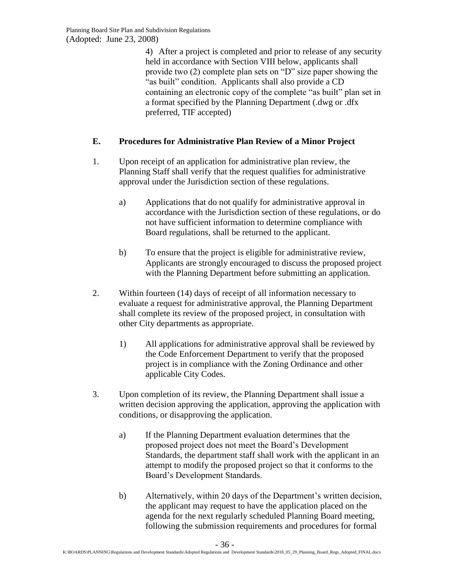4) After a project is completed and prior to release of any security held in accordance with Section VIII below, applicants shall provide two (2) complete plan sets on "D" size paper showing the "as built" condition. Applicants shall also provide a CD containing an electronic copy of the complete "as built" plan set in a format specified by the Planning Department (.dwg or .dfx preferred, TIF accepted)

# <span id="page-35-0"></span>**E. Procedures for Administrative Plan Review of a Minor Project**

- 1. Upon receipt of an application for administrative plan review, the Planning Staff shall verify that the request qualifies for administrative approval under the Jurisdiction section of these regulations.
	- a) Applications that do not qualify for administrative approval in accordance with the Jurisdiction section of these regulations, or do not have sufficient information to determine compliance with Board regulations, shall be returned to the applicant.
	- b) To ensure that the project is eligible for administrative review, Applicants are strongly encouraged to discuss the proposed project with the Planning Department before submitting an application.
- 2. Within fourteen (14) days of receipt of all information necessary to evaluate a request for administrative approval, the Planning Department shall complete its review of the proposed project, in consultation with other City departments as appropriate.
	- 1) All applications for administrative approval shall be reviewed by the Code Enforcement Department to verify that the proposed project is in compliance with the Zoning Ordinance and other applicable City Codes.
- 3. Upon completion of its review, the Planning Department shall issue a written decision approving the application, approving the application with conditions, or disapproving the application.
	- a) If the Planning Department evaluation determines that the proposed project does not meet the Board's Development Standards, the department staff shall work with the applicant in an attempt to modify the proposed project so that it conforms to the Board's Development Standards.
	- b) Alternatively, within 20 days of the Department's written decision, the applicant may request to have the application placed on the agenda for the next regularly scheduled Planning Board meeting, following the submission requirements and procedures for formal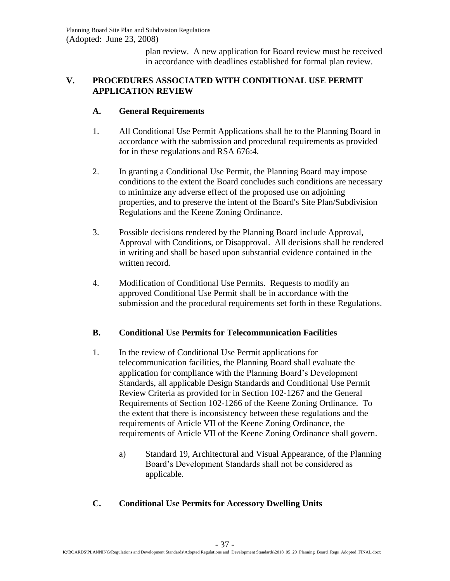plan review. A new application for Board review must be received in accordance with deadlines established for formal plan review.

## <span id="page-36-0"></span>**V. PROCEDURES ASSOCIATED WITH CONDITIONAL USE PERMIT APPLICATION REVIEW**

### <span id="page-36-1"></span>**A. General Requirements**

- 1. All Conditional Use Permit Applications shall be to the Planning Board in accordance with the submission and procedural requirements as provided for in these regulations and RSA 676:4.
- 2. In granting a Conditional Use Permit, the Planning Board may impose conditions to the extent the Board concludes such conditions are necessary to minimize any adverse effect of the proposed use on adjoining properties, and to preserve the intent of the Board's Site Plan/Subdivision Regulations and the Keene Zoning Ordinance.
- 3. Possible decisions rendered by the Planning Board include Approval, Approval with Conditions, or Disapproval. All decisions shall be rendered in writing and shall be based upon substantial evidence contained in the written record.
- 4. Modification of Conditional Use Permits. Requests to modify an approved Conditional Use Permit shall be in accordance with the submission and the procedural requirements set forth in these Regulations.

## <span id="page-36-2"></span>**B. Conditional Use Permits for Telecommunication Facilities**

- 1. In the review of Conditional Use Permit applications for telecommunication facilities, the Planning Board shall evaluate the application for compliance with the Planning Board's Development Standards, all applicable Design Standards and Conditional Use Permit Review Criteria as provided for in Section 102-1267 and the General Requirements of Section 102-1266 of the Keene Zoning Ordinance. To the extent that there is inconsistency between these regulations and the requirements of Article VII of the Keene Zoning Ordinance, the requirements of Article VII of the Keene Zoning Ordinance shall govern.
	- a) Standard 19, Architectural and Visual Appearance, of the Planning Board's Development Standards shall not be considered as applicable.

## <span id="page-36-3"></span>**C. Conditional Use Permits for Accessory Dwelling Units**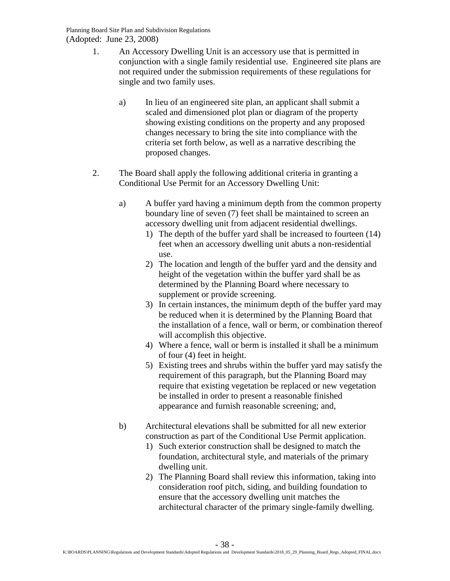- 1. An Accessory Dwelling Unit is an accessory use that is permitted in conjunction with a single family residential use. Engineered site plans are not required under the submission requirements of these regulations for single and two family uses.
	- a) In lieu of an engineered site plan, an applicant shall submit a scaled and dimensioned plot plan or diagram of the property showing existing conditions on the property and any proposed changes necessary to bring the site into compliance with the criteria set forth below, as well as a narrative describing the proposed changes.
- 2. The Board shall apply the following additional criteria in granting a Conditional Use Permit for an Accessory Dwelling Unit:
	- a) A buffer yard having a minimum depth from the common property boundary line of seven (7) feet shall be maintained to screen an accessory dwelling unit from adjacent residential dwellings.
		- 1) The depth of the buffer yard shall be increased to fourteen (14) feet when an accessory dwelling unit abuts a non-residential use.
		- 2) The location and length of the buffer yard and the density and height of the vegetation within the buffer yard shall be as determined by the Planning Board where necessary to supplement or provide screening.
		- 3) In certain instances, the minimum depth of the buffer yard may be reduced when it is determined by the Planning Board that the installation of a fence, wall or berm, or combination thereof will accomplish this objective.
		- 4) Where a fence, wall or berm is installed it shall be a minimum of four (4) feet in height.
		- 5) Existing trees and shrubs within the buffer yard may satisfy the requirement of this paragraph, but the Planning Board may require that existing vegetation be replaced or new vegetation be installed in order to present a reasonable finished appearance and furnish reasonable screening; and,
	- b) Architectural elevations shall be submitted for all new exterior construction as part of the Conditional Use Permit application.
		- 1) Such exterior construction shall be designed to match the foundation, architectural style, and materials of the primary dwelling unit.
		- 2) The Planning Board shall review this information, taking into consideration roof pitch, siding, and building foundation to ensure that the accessory dwelling unit matches the architectural character of the primary single-family dwelling.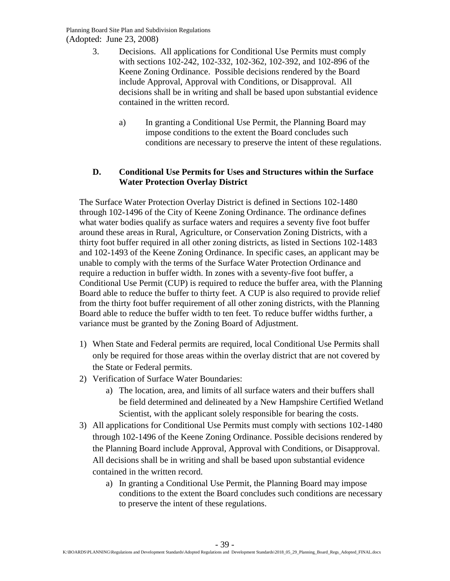- 3. Decisions. All applications for Conditional Use Permits must comply with sections 102-242, 102-332, 102-362, 102-392, and 102-896 of the Keene Zoning Ordinance. Possible decisions rendered by the Board include Approval, Approval with Conditions, or Disapproval. All decisions shall be in writing and shall be based upon substantial evidence contained in the written record.
	- a) In granting a Conditional Use Permit, the Planning Board may impose conditions to the extent the Board concludes such conditions are necessary to preserve the intent of these regulations.

### **D. Conditional Use Permits for Uses and Structures within the Surface Water Protection Overlay District**

The Surface Water Protection Overlay District is defined in Sections 102-1480 through 102-1496 of the City of Keene Zoning Ordinance. The ordinance defines what water bodies qualify as surface waters and requires a seventy five foot buffer around these areas in Rural, Agriculture, or Conservation Zoning Districts, with a thirty foot buffer required in all other zoning districts, as listed in Sections 102-1483 and 102-1493 of the Keene Zoning Ordinance. In specific cases, an applicant may be unable to comply with the terms of the Surface Water Protection Ordinance and require a reduction in buffer width. In zones with a seventy-five foot buffer, a Conditional Use Permit (CUP) is required to reduce the buffer area, with the Planning Board able to reduce the buffer to thirty feet. A CUP is also required to provide relief from the thirty foot buffer requirement of all other zoning districts, with the Planning Board able to reduce the buffer width to ten feet. To reduce buffer widths further, a variance must be granted by the Zoning Board of Adjustment.

- 1) When State and Federal permits are required, local Conditional Use Permits shall only be required for those areas within the overlay district that are not covered by the State or Federal permits.
- 2) Verification of Surface Water Boundaries:
	- a) The location, area, and limits of all surface waters and their buffers shall be field determined and delineated by a New Hampshire Certified Wetland Scientist, with the applicant solely responsible for bearing the costs.
- <span id="page-38-0"></span>3) All applications for Conditional Use Permits must comply with sections 102-1480 through 102-1496 of the Keene Zoning Ordinance. Possible decisions rendered by the Planning Board include Approval, Approval with Conditions, or Disapproval. All decisions shall be in writing and shall be based upon substantial evidence contained in the written record.
	- a) In granting a Conditional Use Permit, the Planning Board may impose conditions to the extent the Board concludes such conditions are necessary to preserve the intent of these regulations.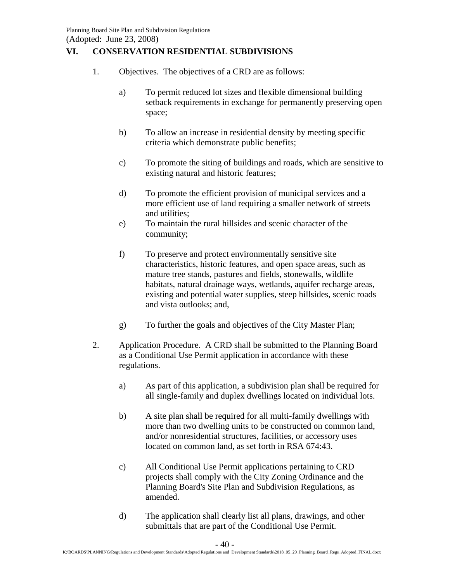## **VI. CONSERVATION RESIDENTIAL SUBDIVISIONS**

- 1. Objectives. The objectives of a CRD are as follows:
	- a) To permit reduced lot sizes and flexible dimensional building setback requirements in exchange for permanently preserving open space;
	- b) To allow an increase in residential density by meeting specific criteria which demonstrate public benefits;
	- c) To promote the siting of buildings and roads, which are sensitive to existing natural and historic features;
	- d) To promote the efficient provision of municipal services and a more efficient use of land requiring a smaller network of streets and utilities;
	- e) To maintain the rural hillsides and scenic character of the community;
	- f) To preserve and protect environmentally sensitive site characteristics, historic features, and open space areas, such as mature tree stands, pastures and fields, stonewalls, wildlife habitats, natural drainage ways, wetlands, aquifer recharge areas, existing and potential water supplies, steep hillsides, scenic roads and vista outlooks; and,
	- g) To further the goals and objectives of the City Master Plan;
- 2. Application Procedure. A CRD shall be submitted to the Planning Board as a Conditional Use Permit application in accordance with these regulations.
	- a) As part of this application, a subdivision plan shall be required for all single-family and duplex dwellings located on individual lots.
	- b) A site plan shall be required for all multi-family dwellings with more than two dwelling units to be constructed on common land, and/or nonresidential structures, facilities, or accessory uses located on common land, as set forth in RSA 674:43.
	- c) All Conditional Use Permit applications pertaining to CRD projects shall comply with the City Zoning Ordinance and the Planning Board's Site Plan and Subdivision Regulations, as amended.
	- d) The application shall clearly list all plans, drawings, and other submittals that are part of the Conditional Use Permit.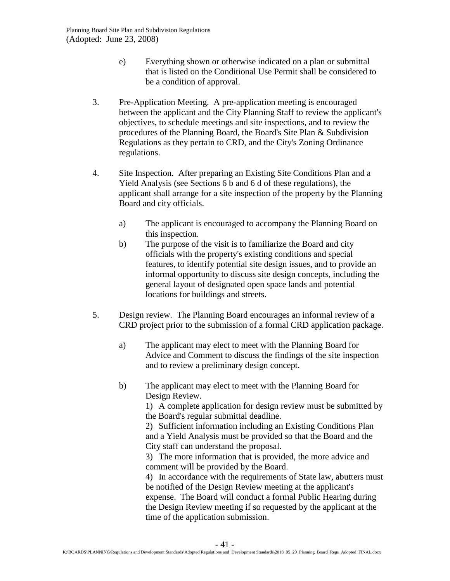- e) Everything shown or otherwise indicated on a plan or submittal that is listed on the Conditional Use Permit shall be considered to be a condition of approval.
- 3. Pre-Application Meeting. A pre-application meeting is encouraged between the applicant and the City Planning Staff to review the applicant's objectives, to schedule meetings and site inspections, and to review the procedures of the Planning Board, the Board's Site Plan & Subdivision Regulations as they pertain to CRD, and the City's Zoning Ordinance regulations.
- 4. Site Inspection. After preparing an Existing Site Conditions Plan and a Yield Analysis (see Sections 6 b and 6 d of these regulations), the applicant shall arrange for a site inspection of the property by the Planning Board and city officials.
	- a) The applicant is encouraged to accompany the Planning Board on this inspection.
	- b) The purpose of the visit is to familiarize the Board and city officials with the property's existing conditions and special features, to identify potential site design issues, and to provide an informal opportunity to discuss site design concepts, including the general layout of designated open space lands and potential locations for buildings and streets.
- 5. Design review. The Planning Board encourages an informal review of a CRD project prior to the submission of a formal CRD application package.
	- a) The applicant may elect to meet with the Planning Board for Advice and Comment to discuss the findings of the site inspection and to review a preliminary design concept.
	- b) The applicant may elect to meet with the Planning Board for Design Review.

1) A complete application for design review must be submitted by the Board's regular submittal deadline.

2) Sufficient information including an Existing Conditions Plan and a Yield Analysis must be provided so that the Board and the City staff can understand the proposal.

3) The more information that is provided, the more advice and comment will be provided by the Board.

4) In accordance with the requirements of State law, abutters must be notified of the Design Review meeting at the applicant's expense. The Board will conduct a formal Public Hearing during the Design Review meeting if so requested by the applicant at the time of the application submission.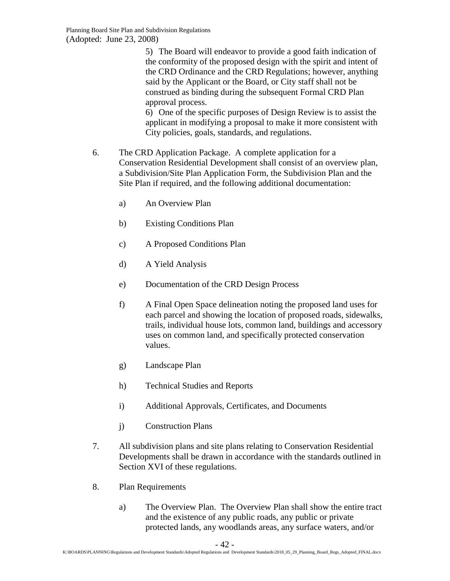5) The Board will endeavor to provide a good faith indication of the conformity of the proposed design with the spirit and intent of the CRD Ordinance and the CRD Regulations; however, anything said by the Applicant or the Board, or City staff shall not be construed as binding during the subsequent Formal CRD Plan approval process.

6) One of the specific purposes of Design Review is to assist the applicant in modifying a proposal to make it more consistent with City policies, goals, standards, and regulations.

- 6. The CRD Application Package. A complete application for a Conservation Residential Development shall consist of an overview plan, a Subdivision/Site Plan Application Form, the Subdivision Plan and the Site Plan if required, and the following additional documentation:
	- a) An Overview Plan
	- b) Existing Conditions Plan
	- c) A Proposed Conditions Plan
	- d) A Yield Analysis
	- e) Documentation of the CRD Design Process
	- f) A Final Open Space delineation noting the proposed land uses for each parcel and showing the location of proposed roads, sidewalks, trails, individual house lots, common land, buildings and accessory uses on common land, and specifically protected conservation values.
	- g) Landscape Plan
	- h) Technical Studies and Reports
	- i) Additional Approvals, Certificates, and Documents
	- j) Construction Plans
- 7. All subdivision plans and site plans relating to Conservation Residential Developments shall be drawn in accordance with the standards outlined in Section XVI of these regulations.
- 8. Plan Requirements
	- a) The Overview Plan. The Overview Plan shall show the entire tract and the existence of any public roads, any public or private protected lands, any woodlands areas, any surface waters, and/or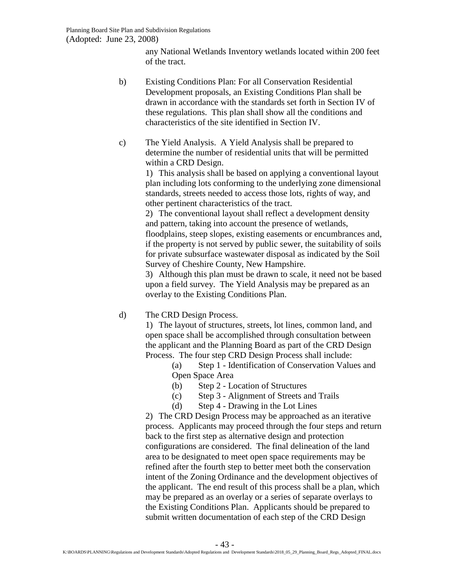any National Wetlands Inventory wetlands located within 200 feet of the tract.

- b) Existing Conditions Plan: For all Conservation Residential Development proposals, an Existing Conditions Plan shall be drawn in accordance with the standards set forth in Section IV of these regulations. This plan shall show all the conditions and characteristics of the site identified in Section IV.
- c) The Yield Analysis. A Yield Analysis shall be prepared to determine the number of residential units that will be permitted within a CRD Design.

1) This analysis shall be based on applying a conventional layout plan including lots conforming to the underlying zone dimensional standards, streets needed to access those lots, rights of way, and other pertinent characteristics of the tract.

2) The conventional layout shall reflect a development density and pattern, taking into account the presence of wetlands, floodplains, steep slopes, existing easements or encumbrances and, if the property is not served by public sewer, the suitability of soils for private subsurface wastewater disposal as indicated by the Soil Survey of Cheshire County, New Hampshire.

3) Although this plan must be drawn to scale, it need not be based upon a field survey. The Yield Analysis may be prepared as an overlay to the Existing Conditions Plan.

## d) The CRD Design Process.

1) The layout of structures, streets, lot lines, common land, and open space shall be accomplished through consultation between the applicant and the Planning Board as part of the CRD Design Process. The four step CRD Design Process shall include:

> (a) Step 1 - Identification of Conservation Values and Open Space Area

- (b) Step 2 Location of Structures
- (c) Step 3 Alignment of Streets and Trails
- (d) Step 4 Drawing in the Lot Lines

2) The CRD Design Process may be approached as an iterative process. Applicants may proceed through the four steps and return back to the first step as alternative design and protection configurations are considered. The final delineation of the land area to be designated to meet open space requirements may be refined after the fourth step to better meet both the conservation intent of the Zoning Ordinance and the development objectives of the applicant. The end result of this process shall be a plan, which may be prepared as an overlay or a series of separate overlays to the Existing Conditions Plan. Applicants should be prepared to submit written documentation of each step of the CRD Design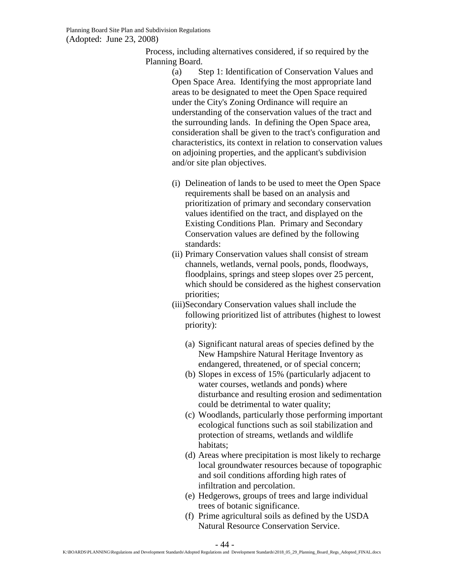Process, including alternatives considered, if so required by the Planning Board.

> (a) Step 1: Identification of Conservation Values and Open Space Area. Identifying the most appropriate land areas to be designated to meet the Open Space required under the City's Zoning Ordinance will require an understanding of the conservation values of the tract and the surrounding lands. In defining the Open Space area, consideration shall be given to the tract's configuration and characteristics, its context in relation to conservation values on adjoining properties, and the applicant's subdivision and/or site plan objectives.

- (i) Delineation of lands to be used to meet the Open Space requirements shall be based on an analysis and prioritization of primary and secondary conservation values identified on the tract, and displayed on the Existing Conditions Plan. Primary and Secondary Conservation values are defined by the following standards:
- (ii) Primary Conservation values shall consist of stream channels, wetlands, vernal pools, ponds, floodways, floodplains, springs and steep slopes over 25 percent, which should be considered as the highest conservation priorities;
- (iii)Secondary Conservation values shall include the following prioritized list of attributes (highest to lowest priority):
	- (a) Significant natural areas of species defined by the New Hampshire Natural Heritage Inventory as endangered, threatened, or of special concern;
	- (b) Slopes in excess of 15% (particularly adjacent to water courses, wetlands and ponds) where disturbance and resulting erosion and sedimentation could be detrimental to water quality;
	- (c) Woodlands, particularly those performing important ecological functions such as soil stabilization and protection of streams, wetlands and wildlife habitats;
	- (d) Areas where precipitation is most likely to recharge local groundwater resources because of topographic and soil conditions affording high rates of infiltration and percolation.
	- (e) Hedgerows, groups of trees and large individual trees of botanic significance.
	- (f) Prime agricultural soils as defined by the USDA Natural Resource Conservation Service.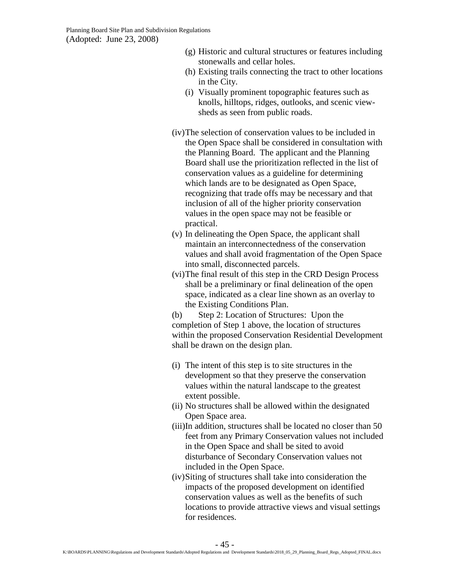- (g) Historic and cultural structures or features including stonewalls and cellar holes.
- (h) Existing trails connecting the tract to other locations in the City.
- (i) Visually prominent topographic features such as knolls, hilltops, ridges, outlooks, and scenic viewsheds as seen from public roads.
- (iv)The selection of conservation values to be included in the Open Space shall be considered in consultation with the Planning Board. The applicant and the Planning Board shall use the prioritization reflected in the list of conservation values as a guideline for determining which lands are to be designated as Open Space, recognizing that trade offs may be necessary and that inclusion of all of the higher priority conservation values in the open space may not be feasible or practical.
- (v) In delineating the Open Space, the applicant shall maintain an interconnectedness of the conservation values and shall avoid fragmentation of the Open Space into small, disconnected parcels.
- (vi)The final result of this step in the CRD Design Process shall be a preliminary or final delineation of the open space, indicated as a clear line shown as an overlay to the Existing Conditions Plan.

(b) Step 2: Location of Structures: Upon the completion of Step 1 above, the location of structures within the proposed Conservation Residential Development shall be drawn on the design plan.

- (i) The intent of this step is to site structures in the development so that they preserve the conservation values within the natural landscape to the greatest extent possible.
- (ii) No structures shall be allowed within the designated Open Space area.
- (iii)In addition, structures shall be located no closer than 50 feet from any Primary Conservation values not included in the Open Space and shall be sited to avoid disturbance of Secondary Conservation values not included in the Open Space.
- (iv)Siting of structures shall take into consideration the impacts of the proposed development on identified conservation values as well as the benefits of such locations to provide attractive views and visual settings for residences.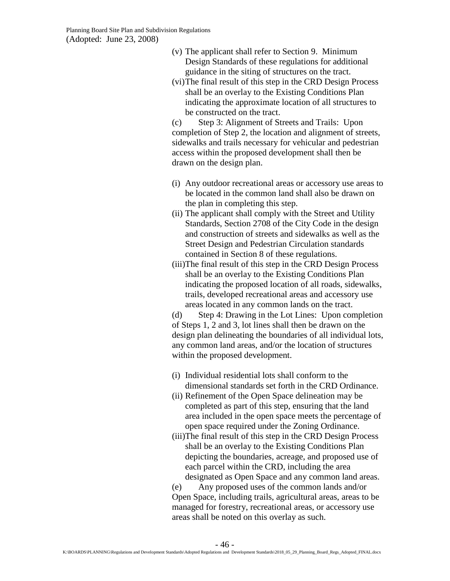- (v) The applicant shall refer to Section 9. Minimum Design Standards of these regulations for additional guidance in the siting of structures on the tract.
- (vi)The final result of this step in the CRD Design Process shall be an overlay to the Existing Conditions Plan indicating the approximate location of all structures to be constructed on the tract.

(c) Step 3: Alignment of Streets and Trails: Upon completion of Step 2, the location and alignment of streets, sidewalks and trails necessary for vehicular and pedestrian access within the proposed development shall then be drawn on the design plan.

- (i) Any outdoor recreational areas or accessory use areas to be located in the common land shall also be drawn on the plan in completing this step.
- (ii) The applicant shall comply with the Street and Utility Standards, Section 2708 of the City Code in the design and construction of streets and sidewalks as well as the Street Design and Pedestrian Circulation standards contained in Section 8 of these regulations.
- (iii)The final result of this step in the CRD Design Process shall be an overlay to the Existing Conditions Plan indicating the proposed location of all roads, sidewalks, trails, developed recreational areas and accessory use areas located in any common lands on the tract.

(d) Step 4: Drawing in the Lot Lines: Upon completion of Steps 1, 2 and 3, lot lines shall then be drawn on the design plan delineating the boundaries of all individual lots, any common land areas, and/or the location of structures within the proposed development.

- (i) Individual residential lots shall conform to the dimensional standards set forth in the CRD Ordinance.
- (ii) Refinement of the Open Space delineation may be completed as part of this step, ensuring that the land area included in the open space meets the percentage of open space required under the Zoning Ordinance.
- (iii)The final result of this step in the CRD Design Process shall be an overlay to the Existing Conditions Plan depicting the boundaries, acreage, and proposed use of each parcel within the CRD, including the area designated as Open Space and any common land areas.

(e) Any proposed uses of the common lands and/or Open Space, including trails, agricultural areas, areas to be managed for forestry, recreational areas, or accessory use areas shall be noted on this overlay as such.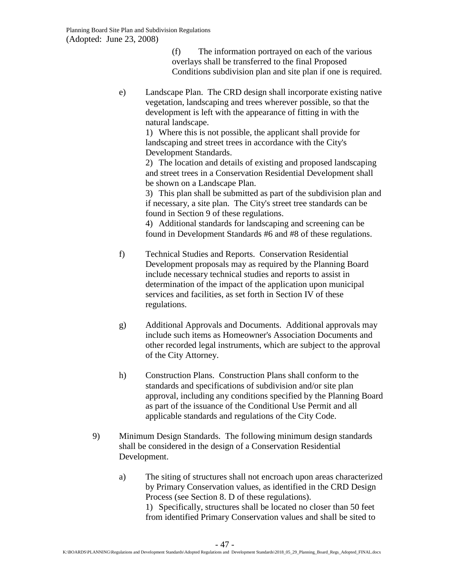(f) The information portrayed on each of the various overlays shall be transferred to the final Proposed Conditions subdivision plan and site plan if one is required.

e) Landscape Plan. The CRD design shall incorporate existing native vegetation, landscaping and trees wherever possible, so that the development is left with the appearance of fitting in with the natural landscape.

> 1) Where this is not possible, the applicant shall provide for landscaping and street trees in accordance with the City's Development Standards.

2) The location and details of existing and proposed landscaping and street trees in a Conservation Residential Development shall be shown on a Landscape Plan.

3) This plan shall be submitted as part of the subdivision plan and if necessary, a site plan. The City's street tree standards can be found in Section 9 of these regulations.

4) Additional standards for landscaping and screening can be found in Development Standards #6 and #8 of these regulations.

- f) Technical Studies and Reports. Conservation Residential Development proposals may as required by the Planning Board include necessary technical studies and reports to assist in determination of the impact of the application upon municipal services and facilities, as set forth in Section IV of these regulations.
- g) Additional Approvals and Documents. Additional approvals may include such items as Homeowner's Association Documents and other recorded legal instruments, which are subject to the approval of the City Attorney.
- h) Construction Plans. Construction Plans shall conform to the standards and specifications of subdivision and/or site plan approval, including any conditions specified by the Planning Board as part of the issuance of the Conditional Use Permit and all applicable standards and regulations of the City Code.
- 9) Minimum Design Standards. The following minimum design standards shall be considered in the design of a Conservation Residential Development.
	- a) The siting of structures shall not encroach upon areas characterized by Primary Conservation values, as identified in the CRD Design Process (see Section 8. D of these regulations). 1) Specifically, structures shall be located no closer than 50 feet from identified Primary Conservation values and shall be sited to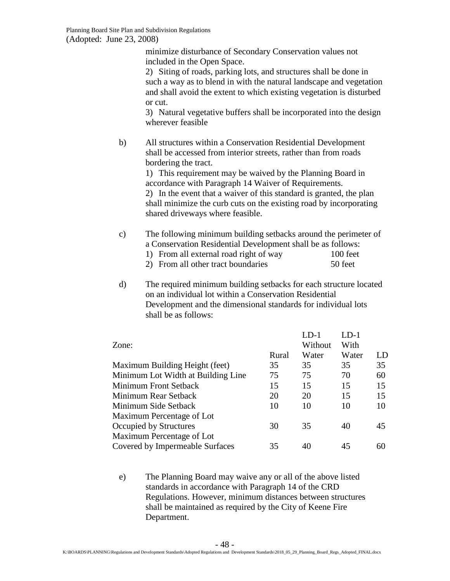minimize disturbance of Secondary Conservation values not included in the Open Space.

2) Siting of roads, parking lots, and structures shall be done in such a way as to blend in with the natural landscape and vegetation and shall avoid the extent to which existing vegetation is disturbed or cut.

3) Natural vegetative buffers shall be incorporated into the design wherever feasible

b) All structures within a Conservation Residential Development shall be accessed from interior streets, rather than from roads bordering the tract.

> 1) This requirement may be waived by the Planning Board in accordance with Paragraph 14 Waiver of Requirements.

2) In the event that a waiver of this standard is granted, the plan shall minimize the curb cuts on the existing road by incorporating shared driveways where feasible.

- c) The following minimum building setbacks around the perimeter of a Conservation Residential Development shall be as follows:
	- 1) From all external road right of way 100 feet
	- 2) From all other tract boundaries 50 feet
- d) The required minimum building setbacks for each structure located on an individual lot within a Conservation Residential Development and the dimensional standards for individual lots shall be as follows:

|       | I .D-1  | $LD-1$               |    |
|-------|---------|----------------------|----|
|       | Without | With                 |    |
| Rural | Water   | Water                | LD |
| 35    |         | 35                   | 35 |
| 75    |         | 70                   | 60 |
| 15    | 15      | 15                   | 15 |
| 20    |         | 15                   | 15 |
| 10    | 10      | 10                   | 10 |
|       |         |                      |    |
| 30    |         | 40                   | 45 |
|       |         |                      |    |
| 35    | 40      | 45                   | 60 |
|       |         | 35<br>75<br>20<br>35 |    |

e) The Planning Board may waive any or all of the above listed standards in accordance with Paragraph 14 of the CRD Regulations. However, minimum distances between structures shall be maintained as required by the City of Keene Fire Department.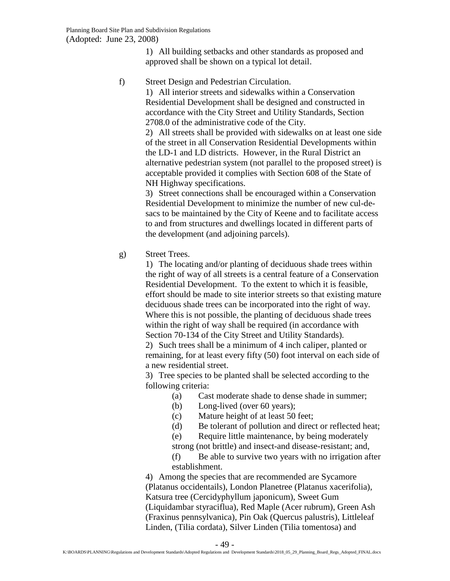1) All building setbacks and other standards as proposed and approved shall be shown on a typical lot detail.

f) Street Design and Pedestrian Circulation.

1) All interior streets and sidewalks within a Conservation Residential Development shall be designed and constructed in accordance with the City Street and Utility Standards, Section 2708.0 of the administrative code of the City.

2) All streets shall be provided with sidewalks on at least one side of the street in all Conservation Residential Developments within the LD-1 and LD districts. However, in the Rural District an alternative pedestrian system (not parallel to the proposed street) is acceptable provided it complies with Section 608 of the State of NH Highway specifications.

3) Street connections shall be encouraged within a Conservation Residential Development to minimize the number of new cul-desacs to be maintained by the City of Keene and to facilitate access to and from structures and dwellings located in different parts of the development (and adjoining parcels).

g) Street Trees.

1) The locating and/or planting of deciduous shade trees within the right of way of all streets is a central feature of a Conservation Residential Development. To the extent to which it is feasible, effort should be made to site interior streets so that existing mature deciduous shade trees can be incorporated into the right of way. Where this is not possible, the planting of deciduous shade trees within the right of way shall be required (in accordance with Section 70-134 of the City Street and Utility Standards).

2) Such trees shall be a minimum of 4 inch caliper, planted or remaining, for at least every fifty (50) foot interval on each side of a new residential street.

3) Tree species to be planted shall be selected according to the following criteria:

- (a) Cast moderate shade to dense shade in summer;
- (b) Long-lived (over 60 years);
- (c) Mature height of at least 50 feet;
- (d) Be tolerant of pollution and direct or reflected heat;
- (e) Require little maintenance, by being moderately
- strong (not brittle) and insect-and disease-resistant; and,
- (f) Be able to survive two years with no irrigation after establishment.

4) Among the species that are recommended are Sycamore (Platanus occidentails), London Planetree (Platanus xacerifolia), Katsura tree (Cercidyphyllum japonicum), Sweet Gum (Liquidambar styraciflua), Red Maple (Acer rubrum), Green Ash (Fraxinus pennsylvanica), Pin Oak (Quercus palustris), Littleleaf Linden, (Tilia cordata), Silver Linden (Tilia tomentosa) and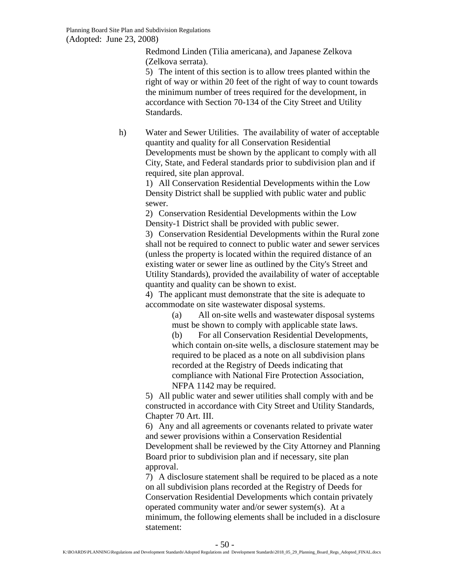Redmond Linden (Tilia americana), and Japanese Zelkova (Zelkova serrata).

5) The intent of this section is to allow trees planted within the right of way or within 20 feet of the right of way to count towards the minimum number of trees required for the development, in accordance with Section 70-134 of the City Street and Utility Standards.

h) Water and Sewer Utilities. The availability of water of acceptable quantity and quality for all Conservation Residential Developments must be shown by the applicant to comply with all City, State, and Federal standards prior to subdivision plan and if required, site plan approval.

1) All Conservation Residential Developments within the Low Density District shall be supplied with public water and public sewer.

2) Conservation Residential Developments within the Low Density-1 District shall be provided with public sewer.

3) Conservation Residential Developments within the Rural zone shall not be required to connect to public water and sewer services (unless the property is located within the required distance of an existing water or sewer line as outlined by the City's Street and Utility Standards), provided the availability of water of acceptable quantity and quality can be shown to exist.

4) The applicant must demonstrate that the site is adequate to accommodate on site wastewater disposal systems.

(a) All on-site wells and wastewater disposal systems must be shown to comply with applicable state laws.

(b) For all Conservation Residential Developments, which contain on-site wells, a disclosure statement may be required to be placed as a note on all subdivision plans recorded at the Registry of Deeds indicating that compliance with National Fire Protection Association, NFPA 1142 may be required.

5) All public water and sewer utilities shall comply with and be constructed in accordance with City Street and Utility Standards, Chapter 70 Art. III.

6) Any and all agreements or covenants related to private water and sewer provisions within a Conservation Residential Development shall be reviewed by the City Attorney and Planning Board prior to subdivision plan and if necessary, site plan approval.

7) A disclosure statement shall be required to be placed as a note on all subdivision plans recorded at the Registry of Deeds for Conservation Residential Developments which contain privately operated community water and/or sewer system(s). At a minimum, the following elements shall be included in a disclosure statement: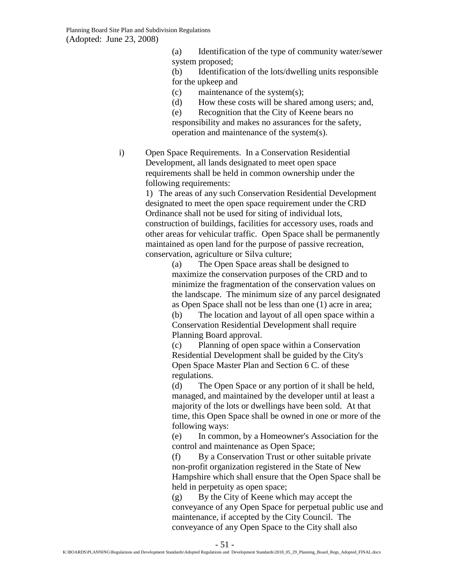- (a) Identification of the type of community water/sewer system proposed;
- (b) Identification of the lots/dwelling units responsible for the upkeep and
- (c) maintenance of the system(s);
- (d) How these costs will be shared among users; and,

(e) Recognition that the City of Keene bears no responsibility and makes no assurances for the safety, operation and maintenance of the system(s).

i) Open Space Requirements. In a Conservation Residential Development, all lands designated to meet open space requirements shall be held in common ownership under the following requirements:

> 1) The areas of any such Conservation Residential Development designated to meet the open space requirement under the CRD Ordinance shall not be used for siting of individual lots, construction of buildings, facilities for accessory uses, roads and other areas for vehicular traffic. Open Space shall be permanently maintained as open land for the purpose of passive recreation, conservation, agriculture or Silva culture;

> > (a) The Open Space areas shall be designed to maximize the conservation purposes of the CRD and to minimize the fragmentation of the conservation values on the landscape. The minimum size of any parcel designated as Open Space shall not be less than one (1) acre in area;

(b) The location and layout of all open space within a Conservation Residential Development shall require Planning Board approval.

(c) Planning of open space within a Conservation Residential Development shall be guided by the City's Open Space Master Plan and Section 6 C. of these regulations.

(d) The Open Space or any portion of it shall be held, managed, and maintained by the developer until at least a majority of the lots or dwellings have been sold. At that time, this Open Space shall be owned in one or more of the following ways:

(e) In common, by a Homeowner's Association for the control and maintenance as Open Space;

(f) By a Conservation Trust or other suitable private non-profit organization registered in the State of New Hampshire which shall ensure that the Open Space shall be held in perpetuity as open space;

(g) By the City of Keene which may accept the conveyance of any Open Space for perpetual public use and maintenance, if accepted by the City Council. The conveyance of any Open Space to the City shall also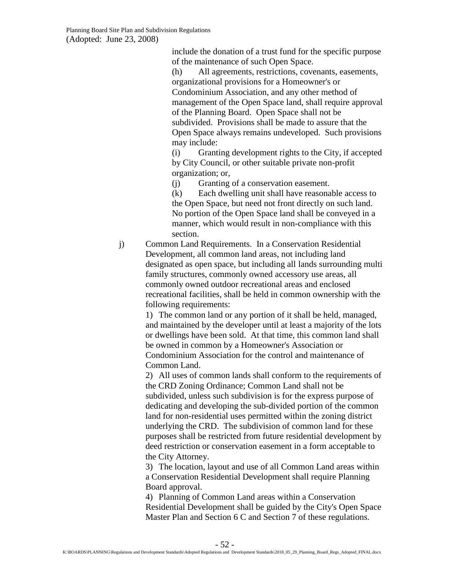include the donation of a trust fund for the specific purpose of the maintenance of such Open Space.

(h) All agreements, restrictions, covenants, easements, organizational provisions for a Homeowner's or Condominium Association, and any other method of management of the Open Space land, shall require approval of the Planning Board. Open Space shall not be subdivided. Provisions shall be made to assure that the Open Space always remains undeveloped. Such provisions may include:

(i) Granting development rights to the City, if accepted by City Council, or other suitable private non-profit organization; or,

(j) Granting of a conservation easement.

(k) Each dwelling unit shall have reasonable access to the Open Space, but need not front directly on such land. No portion of the Open Space land shall be conveyed in a manner, which would result in non-compliance with this section.

j) Common Land Requirements. In a Conservation Residential Development, all common land areas, not including land designated as open space, but including all lands surrounding multi family structures, commonly owned accessory use areas, all commonly owned outdoor recreational areas and enclosed recreational facilities, shall be held in common ownership with the following requirements:

> 1) The common land or any portion of it shall be held, managed, and maintained by the developer until at least a majority of the lots or dwellings have been sold. At that time, this common land shall be owned in common by a Homeowner's Association or Condominium Association for the control and maintenance of Common Land.

> 2) All uses of common lands shall conform to the requirements of the CRD Zoning Ordinance; Common Land shall not be subdivided, unless such subdivision is for the express purpose of dedicating and developing the sub-divided portion of the common land for non-residential uses permitted within the zoning district underlying the CRD. The subdivision of common land for these purposes shall be restricted from future residential development by deed restriction or conservation easement in a form acceptable to the City Attorney.

3) The location, layout and use of all Common Land areas within a Conservation Residential Development shall require Planning Board approval.

4) Planning of Common Land areas within a Conservation Residential Development shall be guided by the City's Open Space Master Plan and Section 6 C and Section 7 of these regulations.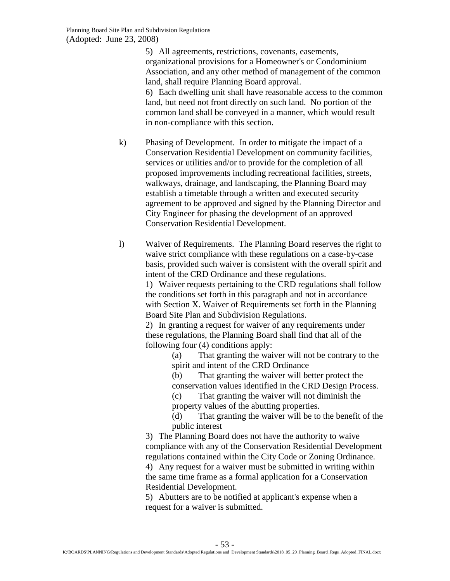5) All agreements, restrictions, covenants, easements, organizational provisions for a Homeowner's or Condominium Association, and any other method of management of the common land, shall require Planning Board approval. 6) Each dwelling unit shall have reasonable access to the common land, but need not front directly on such land. No portion of the common land shall be conveyed in a manner, which would result in non-compliance with this section.

- k) Phasing of Development. In order to mitigate the impact of a Conservation Residential Development on community facilities, services or utilities and/or to provide for the completion of all proposed improvements including recreational facilities, streets, walkways, drainage, and landscaping, the Planning Board may establish a timetable through a written and executed security agreement to be approved and signed by the Planning Director and City Engineer for phasing the development of an approved Conservation Residential Development.
- l) Waiver of Requirements. The Planning Board reserves the right to waive strict compliance with these regulations on a case-by-case basis, provided such waiver is consistent with the overall spirit and intent of the CRD Ordinance and these regulations.

1) Waiver requests pertaining to the CRD regulations shall follow the conditions set forth in this paragraph and not in accordance with Section X. Waiver of Requirements set forth in the Planning Board Site Plan and Subdivision Regulations.

2) In granting a request for waiver of any requirements under these regulations, the Planning Board shall find that all of the following four (4) conditions apply:

> (a) That granting the waiver will not be contrary to the spirit and intent of the CRD Ordinance

- (b) That granting the waiver will better protect the
- conservation values identified in the CRD Design Process.

(c) That granting the waiver will not diminish the property values of the abutting properties.

(d) That granting the waiver will be to the benefit of the public interest

3) The Planning Board does not have the authority to waive compliance with any of the Conservation Residential Development regulations contained within the City Code or Zoning Ordinance. 4) Any request for a waiver must be submitted in writing within the same time frame as a formal application for a Conservation Residential Development.

<span id="page-52-0"></span>5) Abutters are to be notified at applicant's expense when a request for a waiver is submitted.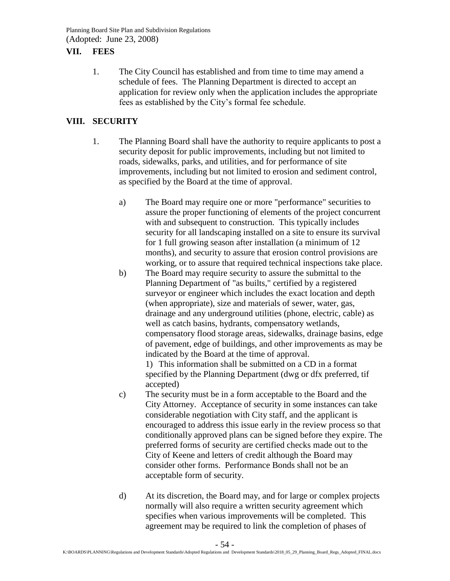### **VII. FEES**

1. The City Council has established and from time to time may amend a schedule of fees. The Planning Department is directed to accept an application for review only when the application includes the appropriate fees as established by the City's formal fee schedule.

## <span id="page-53-0"></span>**VIII. SECURITY**

- 1. The Planning Board shall have the authority to require applicants to post a security deposit for public improvements, including but not limited to roads, sidewalks, parks, and utilities, and for performance of site improvements, including but not limited to erosion and sediment control, as specified by the Board at the time of approval.
	- a) The Board may require one or more "performance" securities to assure the proper functioning of elements of the project concurrent with and subsequent to construction. This typically includes security for all landscaping installed on a site to ensure its survival for 1 full growing season after installation (a minimum of 12 months), and security to assure that erosion control provisions are working, or to assure that required technical inspections take place.
	- b) The Board may require security to assure the submittal to the Planning Department of "as builts," certified by a registered surveyor or engineer which includes the exact location and depth (when appropriate), size and materials of sewer, water, gas, drainage and any underground utilities (phone, electric, cable) as well as catch basins, hydrants, compensatory wetlands, compensatory flood storage areas, sidewalks, drainage basins, edge of pavement, edge of buildings, and other improvements as may be indicated by the Board at the time of approval.

1) This information shall be submitted on a CD in a format specified by the Planning Department (dwg or dfx preferred, tif accepted)

- c) The security must be in a form acceptable to the Board and the City Attorney. Acceptance of security in some instances can take considerable negotiation with City staff, and the applicant is encouraged to address this issue early in the review process so that conditionally approved plans can be signed before they expire. The preferred forms of security are certified checks made out to the City of Keene and letters of credit although the Board may consider other forms. Performance Bonds shall not be an acceptable form of security.
- d) At its discretion, the Board may, and for large or complex projects normally will also require a written security agreement which specifies when various improvements will be completed. This agreement may be required to link the completion of phases of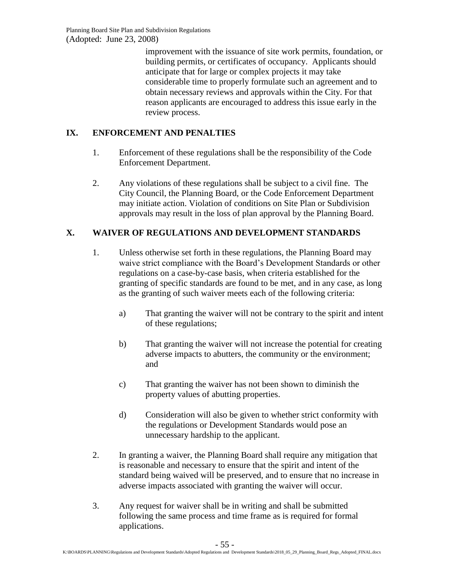improvement with the issuance of site work permits, foundation, or building permits, or certificates of occupancy. Applicants should anticipate that for large or complex projects it may take considerable time to properly formulate such an agreement and to obtain necessary reviews and approvals within the City. For that reason applicants are encouraged to address this issue early in the review process.

# <span id="page-54-0"></span>**IX. ENFORCEMENT AND PENALTIES**

- 1. Enforcement of these regulations shall be the responsibility of the Code Enforcement Department.
- 2. Any violations of these regulations shall be subject to a civil fine. The City Council, the Planning Board, or the Code Enforcement Department may initiate action. Violation of conditions on Site Plan or Subdivision approvals may result in the loss of plan approval by the Planning Board.

# <span id="page-54-1"></span>**X. WAIVER OF REGULATIONS AND DEVELOPMENT STANDARDS**

- 1. Unless otherwise set forth in these regulations, the Planning Board may waive strict compliance with the Board's Development Standards or other regulations on a case-by-case basis, when criteria established for the granting of specific standards are found to be met, and in any case, as long as the granting of such waiver meets each of the following criteria:
	- a) That granting the waiver will not be contrary to the spirit and intent of these regulations;
	- b) That granting the waiver will not increase the potential for creating adverse impacts to abutters, the community or the environment; and
	- c) That granting the waiver has not been shown to diminish the property values of abutting properties.
	- d) Consideration will also be given to whether strict conformity with the regulations or Development Standards would pose an unnecessary hardship to the applicant.
- 2. In granting a waiver, the Planning Board shall require any mitigation that is reasonable and necessary to ensure that the spirit and intent of the standard being waived will be preserved, and to ensure that no increase in adverse impacts associated with granting the waiver will occur.
- 3. Any request for waiver shall be in writing and shall be submitted following the same process and time frame as is required for formal applications.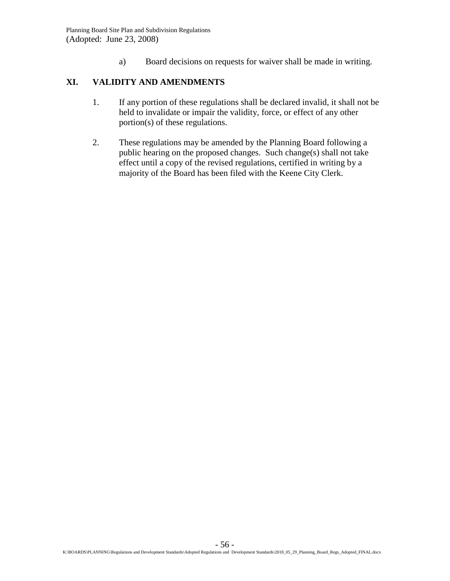a) Board decisions on requests for waiver shall be made in writing.

# <span id="page-55-0"></span>**XI. VALIDITY AND AMENDMENTS**

- 1. If any portion of these regulations shall be declared invalid, it shall not be held to invalidate or impair the validity, force, or effect of any other portion(s) of these regulations.
- 2. These regulations may be amended by the Planning Board following a public hearing on the proposed changes. Such change(s) shall not take effect until a copy of the revised regulations, certified in writing by a majority of the Board has been filed with the Keene City Clerk.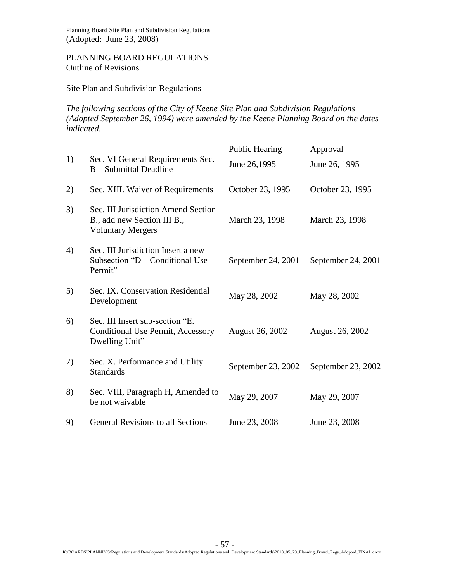### PLANNING BOARD REGULATIONS Outline of Revisions

Site Plan and Subdivision Regulations

*The following sections of the City of Keene Site Plan and Subdivision Regulations (Adopted September 26, 1994) were amended by the Keene Planning Board on the dates indicated.*

| 1) | Sec. VI General Requirements Sec.<br>B - Submittal Deadline                                    | <b>Public Hearing</b><br>June 26,1995 | Approval<br>June 26, 1995 |
|----|------------------------------------------------------------------------------------------------|---------------------------------------|---------------------------|
| 2) | Sec. XIII. Waiver of Requirements                                                              | October 23, 1995                      | October 23, 1995          |
| 3) | Sec. III Jurisdiction Amend Section<br>B., add new Section III B.,<br><b>Voluntary Mergers</b> | March 23, 1998                        | March 23, 1998            |
| 4) | Sec. III Jurisdiction Insert a new<br>Subsection "D – Conditional Use<br>Permit"               | September 24, 2001                    | September 24, 2001        |
| 5) | Sec. IX. Conservation Residential<br>Development                                               | May 28, 2002                          | May 28, 2002              |
| 6) | Sec. III Insert sub-section "E.<br>Conditional Use Permit, Accessory<br>Dwelling Unit"         | <b>August 26, 2002</b>                | <b>August 26, 2002</b>    |
| 7) | Sec. X. Performance and Utility<br><b>Standards</b>                                            | September 23, 2002                    | September 23, 2002        |
| 8) | Sec. VIII, Paragraph H, Amended to<br>be not waivable                                          | May 29, 2007                          | May 29, 2007              |
| 9) | <b>General Revisions to all Sections</b>                                                       | June 23, 2008                         | June 23, 2008             |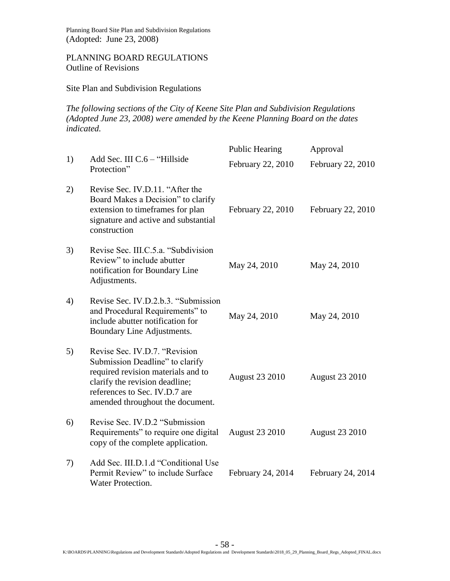### PLANNING BOARD REGULATIONS Outline of Revisions

### Site Plan and Subdivision Regulations

*The following sections of the City of Keene Site Plan and Subdivision Regulations (Adopted June 23, 2008) were amended by the Keene Planning Board on the dates indicated.*

|    |                                                                                                                                                                                                               | <b>Public Hearing</b> | Approval              |
|----|---------------------------------------------------------------------------------------------------------------------------------------------------------------------------------------------------------------|-----------------------|-----------------------|
| 1) | Add Sec. III C.6 - "Hillside<br>Protection"                                                                                                                                                                   | February 22, 2010     | February 22, 2010     |
| 2) | Revise Sec. IV.D.11. "After the<br>Board Makes a Decision" to clarify<br>extension to timeframes for plan<br>signature and active and substantial<br>construction                                             | February 22, 2010     | February 22, 2010     |
| 3) | Revise Sec. III.C.5.a. "Subdivision"<br>Review" to include abutter<br>notification for Boundary Line<br>Adjustments.                                                                                          | May 24, 2010          | May 24, 2010          |
| 4) | Revise Sec. IV.D.2.b.3. "Submission<br>and Procedural Requirements" to<br>include abutter notification for<br>Boundary Line Adjustments.                                                                      | May 24, 2010          | May 24, 2010          |
| 5) | Revise Sec. IV.D.7. "Revision<br>Submission Deadline" to clarify<br>required revision materials and to<br>clarify the revision deadline;<br>references to Sec. IV.D.7 are<br>amended throughout the document. | <b>August 23 2010</b> | <b>August 23 2010</b> |
| 6) | Revise Sec. IV.D.2 "Submission<br>Requirements" to require one digital<br>copy of the complete application.                                                                                                   | <b>August 23 2010</b> | <b>August 23 2010</b> |
| 7) | Add Sec. III.D.1.d "Conditional Use<br>Permit Review" to include Surface<br><b>Water Protection.</b>                                                                                                          | February 24, 2014     | February 24, 2014     |